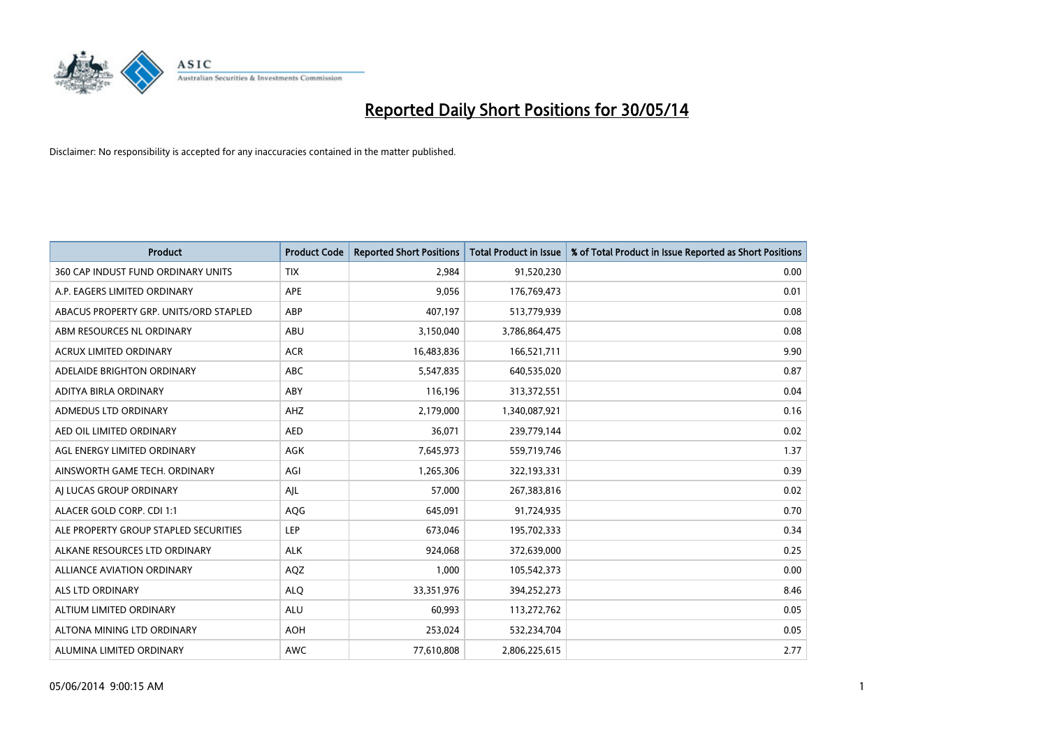

| <b>Product</b>                         | <b>Product Code</b> | <b>Reported Short Positions</b> | <b>Total Product in Issue</b> | % of Total Product in Issue Reported as Short Positions |
|----------------------------------------|---------------------|---------------------------------|-------------------------------|---------------------------------------------------------|
| 360 CAP INDUST FUND ORDINARY UNITS     | <b>TIX</b>          | 2,984                           | 91,520,230                    | 0.00                                                    |
| A.P. EAGERS LIMITED ORDINARY           | APE                 | 9,056                           | 176,769,473                   | 0.01                                                    |
| ABACUS PROPERTY GRP. UNITS/ORD STAPLED | ABP                 | 407,197                         | 513,779,939                   | 0.08                                                    |
| ABM RESOURCES NL ORDINARY              | ABU                 | 3,150,040                       | 3,786,864,475                 | 0.08                                                    |
| <b>ACRUX LIMITED ORDINARY</b>          | <b>ACR</b>          | 16,483,836                      | 166,521,711                   | 9.90                                                    |
| ADELAIDE BRIGHTON ORDINARY             | <b>ABC</b>          | 5,547,835                       | 640,535,020                   | 0.87                                                    |
| ADITYA BIRLA ORDINARY                  | ABY                 | 116,196                         | 313,372,551                   | 0.04                                                    |
| ADMEDUS LTD ORDINARY                   | AHZ                 | 2,179,000                       | 1,340,087,921                 | 0.16                                                    |
| AED OIL LIMITED ORDINARY               | <b>AED</b>          | 36,071                          | 239,779,144                   | 0.02                                                    |
| AGL ENERGY LIMITED ORDINARY            | <b>AGK</b>          | 7,645,973                       | 559,719,746                   | 1.37                                                    |
| AINSWORTH GAME TECH. ORDINARY          | AGI                 | 1,265,306                       | 322,193,331                   | 0.39                                                    |
| AI LUCAS GROUP ORDINARY                | AJL                 | 57,000                          | 267,383,816                   | 0.02                                                    |
| ALACER GOLD CORP. CDI 1:1              | AQG                 | 645,091                         | 91,724,935                    | 0.70                                                    |
| ALE PROPERTY GROUP STAPLED SECURITIES  | LEP                 | 673,046                         | 195,702,333                   | 0.34                                                    |
| ALKANE RESOURCES LTD ORDINARY          | <b>ALK</b>          | 924,068                         | 372,639,000                   | 0.25                                                    |
| ALLIANCE AVIATION ORDINARY             | AQZ                 | 1,000                           | 105,542,373                   | 0.00                                                    |
| ALS LTD ORDINARY                       | <b>ALQ</b>          | 33,351,976                      | 394,252,273                   | 8.46                                                    |
| ALTIUM LIMITED ORDINARY                | ALU                 | 60,993                          | 113,272,762                   | 0.05                                                    |
| ALTONA MINING LTD ORDINARY             | <b>AOH</b>          | 253,024                         | 532,234,704                   | 0.05                                                    |
| ALUMINA LIMITED ORDINARY               | <b>AWC</b>          | 77,610,808                      | 2,806,225,615                 | 2.77                                                    |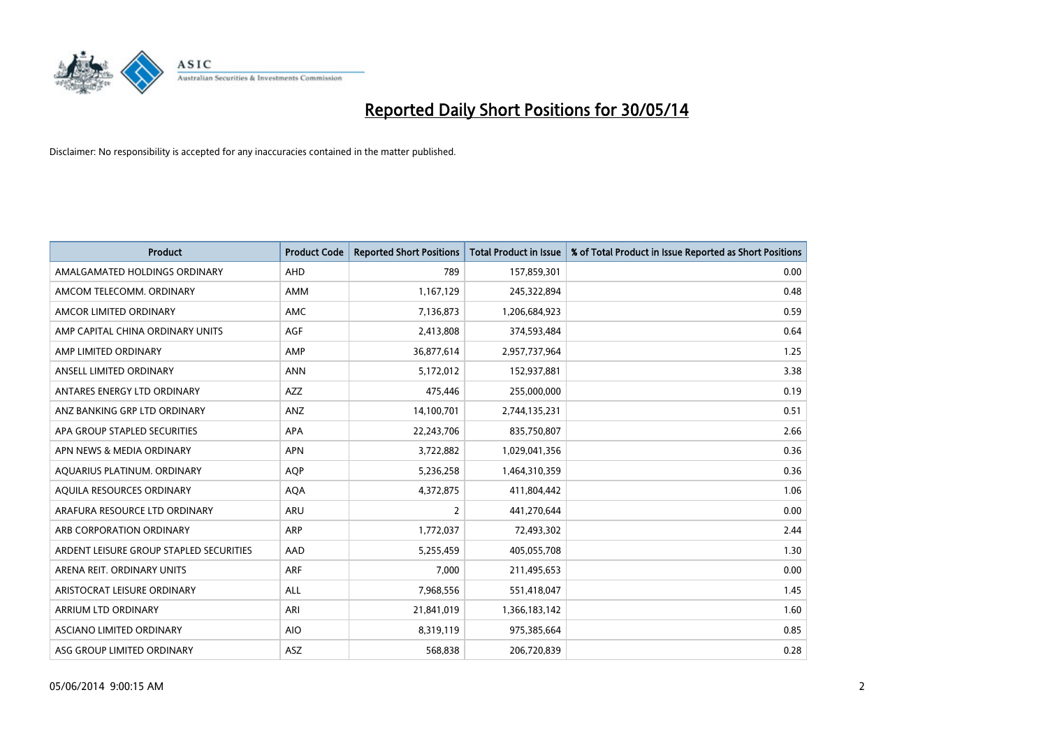

| <b>Product</b>                          | <b>Product Code</b> | <b>Reported Short Positions</b> | <b>Total Product in Issue</b> | % of Total Product in Issue Reported as Short Positions |
|-----------------------------------------|---------------------|---------------------------------|-------------------------------|---------------------------------------------------------|
| AMALGAMATED HOLDINGS ORDINARY           | <b>AHD</b>          | 789                             | 157,859,301                   | 0.00                                                    |
| AMCOM TELECOMM. ORDINARY                | AMM                 | 1,167,129                       | 245,322,894                   | 0.48                                                    |
| AMCOR LIMITED ORDINARY                  | AMC                 | 7,136,873                       | 1,206,684,923                 | 0.59                                                    |
| AMP CAPITAL CHINA ORDINARY UNITS        | AGF                 | 2,413,808                       | 374,593,484                   | 0.64                                                    |
| AMP LIMITED ORDINARY                    | AMP                 | 36,877,614                      | 2,957,737,964                 | 1.25                                                    |
| ANSELL LIMITED ORDINARY                 | <b>ANN</b>          | 5,172,012                       | 152,937,881                   | 3.38                                                    |
| ANTARES ENERGY LTD ORDINARY             | AZZ                 | 475,446                         | 255,000,000                   | 0.19                                                    |
| ANZ BANKING GRP LTD ORDINARY            | ANZ                 | 14,100,701                      | 2,744,135,231                 | 0.51                                                    |
| APA GROUP STAPLED SECURITIES            | <b>APA</b>          | 22,243,706                      | 835,750,807                   | 2.66                                                    |
| APN NEWS & MEDIA ORDINARY               | <b>APN</b>          | 3,722,882                       | 1,029,041,356                 | 0.36                                                    |
| AQUARIUS PLATINUM. ORDINARY             | <b>AOP</b>          | 5,236,258                       | 1,464,310,359                 | 0.36                                                    |
| AQUILA RESOURCES ORDINARY               | <b>AQA</b>          | 4,372,875                       | 411,804,442                   | 1.06                                                    |
| ARAFURA RESOURCE LTD ORDINARY           | ARU                 | $\overline{2}$                  | 441,270,644                   | 0.00                                                    |
| ARB CORPORATION ORDINARY                | ARP                 | 1,772,037                       | 72,493,302                    | 2.44                                                    |
| ARDENT LEISURE GROUP STAPLED SECURITIES | AAD                 | 5,255,459                       | 405,055,708                   | 1.30                                                    |
| ARENA REIT. ORDINARY UNITS              | ARF                 | 7,000                           | 211,495,653                   | 0.00                                                    |
| ARISTOCRAT LEISURE ORDINARY             | ALL                 | 7,968,556                       | 551,418,047                   | 1.45                                                    |
| ARRIUM LTD ORDINARY                     | ARI                 | 21,841,019                      | 1,366,183,142                 | 1.60                                                    |
| ASCIANO LIMITED ORDINARY                | <b>AIO</b>          | 8,319,119                       | 975,385,664                   | 0.85                                                    |
| ASG GROUP LIMITED ORDINARY              | ASZ                 | 568,838                         | 206,720,839                   | 0.28                                                    |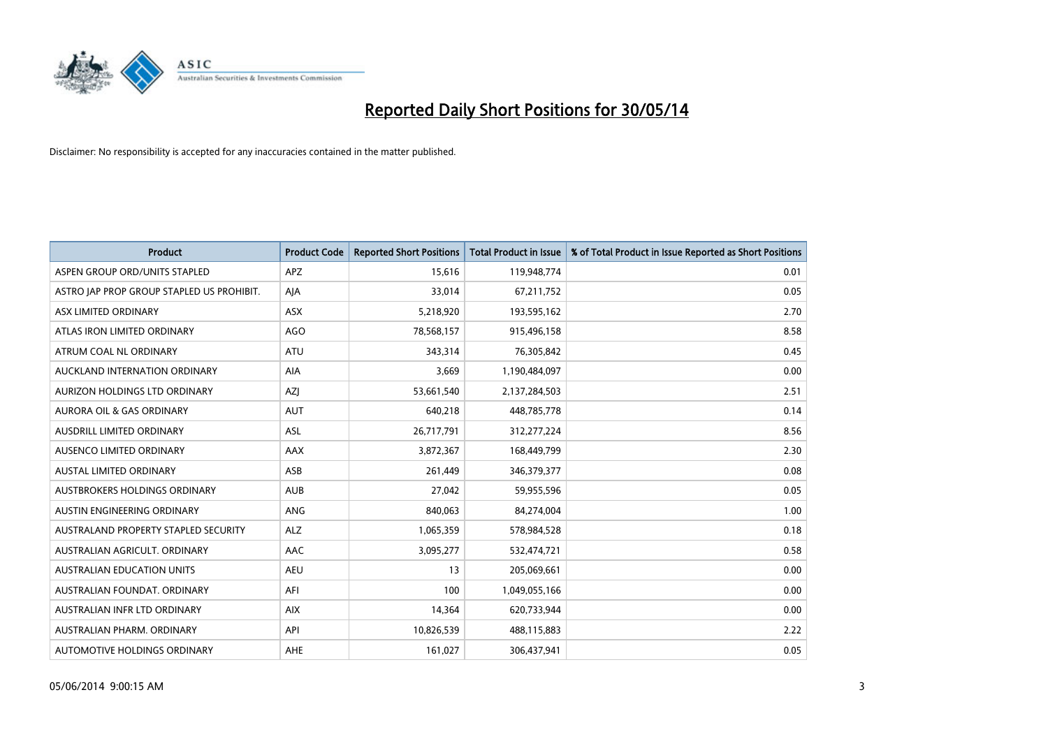

| <b>Product</b>                            | <b>Product Code</b> | <b>Reported Short Positions</b> | <b>Total Product in Issue</b> | % of Total Product in Issue Reported as Short Positions |
|-------------------------------------------|---------------------|---------------------------------|-------------------------------|---------------------------------------------------------|
| ASPEN GROUP ORD/UNITS STAPLED             | APZ                 | 15,616                          | 119,948,774                   | 0.01                                                    |
| ASTRO JAP PROP GROUP STAPLED US PROHIBIT. | AJA                 | 33,014                          | 67,211,752                    | 0.05                                                    |
| ASX LIMITED ORDINARY                      | ASX                 | 5,218,920                       | 193,595,162                   | 2.70                                                    |
| ATLAS IRON LIMITED ORDINARY               | <b>AGO</b>          | 78,568,157                      | 915,496,158                   | 8.58                                                    |
| ATRUM COAL NL ORDINARY                    | ATU                 | 343,314                         | 76,305,842                    | 0.45                                                    |
| AUCKLAND INTERNATION ORDINARY             | AIA                 | 3,669                           | 1,190,484,097                 | 0.00                                                    |
| AURIZON HOLDINGS LTD ORDINARY             | AZJ                 | 53,661,540                      | 2,137,284,503                 | 2.51                                                    |
| AURORA OIL & GAS ORDINARY                 | <b>AUT</b>          | 640,218                         | 448,785,778                   | 0.14                                                    |
| AUSDRILL LIMITED ORDINARY                 | ASL                 | 26,717,791                      | 312,277,224                   | 8.56                                                    |
| AUSENCO LIMITED ORDINARY                  | AAX                 | 3,872,367                       | 168,449,799                   | 2.30                                                    |
| AUSTAL LIMITED ORDINARY                   | ASB                 | 261,449                         | 346, 379, 377                 | 0.08                                                    |
| AUSTBROKERS HOLDINGS ORDINARY             | <b>AUB</b>          | 27,042                          | 59,955,596                    | 0.05                                                    |
| AUSTIN ENGINEERING ORDINARY               | ANG                 | 840,063                         | 84,274,004                    | 1.00                                                    |
| AUSTRALAND PROPERTY STAPLED SECURITY      | <b>ALZ</b>          | 1,065,359                       | 578,984,528                   | 0.18                                                    |
| AUSTRALIAN AGRICULT. ORDINARY             | <b>AAC</b>          | 3,095,277                       | 532,474,721                   | 0.58                                                    |
| <b>AUSTRALIAN EDUCATION UNITS</b>         | <b>AEU</b>          | 13                              | 205,069,661                   | 0.00                                                    |
| AUSTRALIAN FOUNDAT. ORDINARY              | AFI                 | 100                             | 1,049,055,166                 | 0.00                                                    |
| AUSTRALIAN INFR LTD ORDINARY              | <b>AIX</b>          | 14,364                          | 620,733,944                   | 0.00                                                    |
| AUSTRALIAN PHARM, ORDINARY                | API                 | 10,826,539                      | 488,115,883                   | 2.22                                                    |
| AUTOMOTIVE HOLDINGS ORDINARY              | AHE                 | 161,027                         | 306,437,941                   | 0.05                                                    |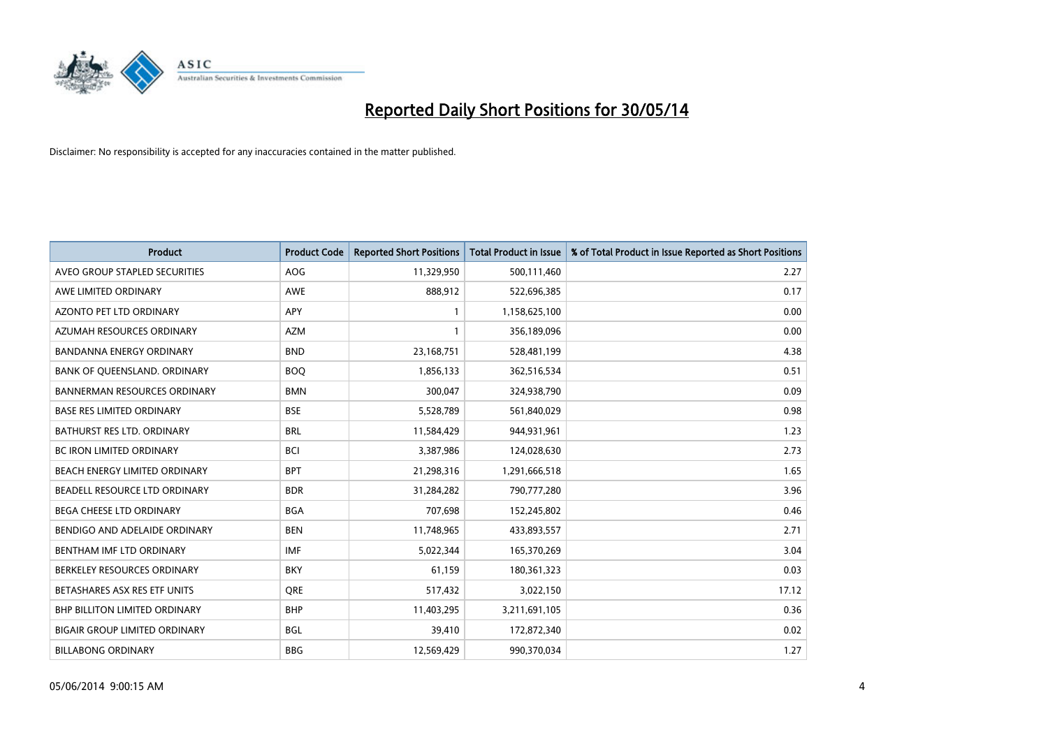

| <b>Product</b>                       | <b>Product Code</b> | <b>Reported Short Positions</b> | <b>Total Product in Issue</b> | % of Total Product in Issue Reported as Short Positions |
|--------------------------------------|---------------------|---------------------------------|-------------------------------|---------------------------------------------------------|
| AVEO GROUP STAPLED SECURITIES        | <b>AOG</b>          | 11,329,950                      | 500,111,460                   | 2.27                                                    |
| AWE LIMITED ORDINARY                 | <b>AWE</b>          | 888,912                         | 522,696,385                   | 0.17                                                    |
| <b>AZONTO PET LTD ORDINARY</b>       | <b>APY</b>          | 1                               | 1,158,625,100                 | 0.00                                                    |
| AZUMAH RESOURCES ORDINARY            | <b>AZM</b>          | 1                               | 356,189,096                   | 0.00                                                    |
| <b>BANDANNA ENERGY ORDINARY</b>      | <b>BND</b>          | 23,168,751                      | 528,481,199                   | 4.38                                                    |
| BANK OF QUEENSLAND. ORDINARY         | <b>BOO</b>          | 1,856,133                       | 362,516,534                   | 0.51                                                    |
| <b>BANNERMAN RESOURCES ORDINARY</b>  | <b>BMN</b>          | 300,047                         | 324,938,790                   | 0.09                                                    |
| <b>BASE RES LIMITED ORDINARY</b>     | <b>BSE</b>          | 5,528,789                       | 561,840,029                   | 0.98                                                    |
| <b>BATHURST RES LTD. ORDINARY</b>    | <b>BRL</b>          | 11,584,429                      | 944,931,961                   | 1.23                                                    |
| <b>BC IRON LIMITED ORDINARY</b>      | <b>BCI</b>          | 3,387,986                       | 124,028,630                   | 2.73                                                    |
| BEACH ENERGY LIMITED ORDINARY        | <b>BPT</b>          | 21,298,316                      | 1,291,666,518                 | 1.65                                                    |
| BEADELL RESOURCE LTD ORDINARY        | <b>BDR</b>          | 31,284,282                      | 790,777,280                   | 3.96                                                    |
| <b>BEGA CHEESE LTD ORDINARY</b>      | <b>BGA</b>          | 707,698                         | 152,245,802                   | 0.46                                                    |
| BENDIGO AND ADELAIDE ORDINARY        | <b>BEN</b>          | 11,748,965                      | 433,893,557                   | 2.71                                                    |
| BENTHAM IMF LTD ORDINARY             | <b>IMF</b>          | 5,022,344                       | 165,370,269                   | 3.04                                                    |
| BERKELEY RESOURCES ORDINARY          | <b>BKY</b>          | 61,159                          | 180,361,323                   | 0.03                                                    |
| BETASHARES ASX RES ETF UNITS         | <b>ORE</b>          | 517,432                         | 3,022,150                     | 17.12                                                   |
| <b>BHP BILLITON LIMITED ORDINARY</b> | <b>BHP</b>          | 11,403,295                      | 3,211,691,105                 | 0.36                                                    |
| <b>BIGAIR GROUP LIMITED ORDINARY</b> | <b>BGL</b>          | 39,410                          | 172,872,340                   | 0.02                                                    |
| <b>BILLABONG ORDINARY</b>            | <b>BBG</b>          | 12,569,429                      | 990,370,034                   | 1.27                                                    |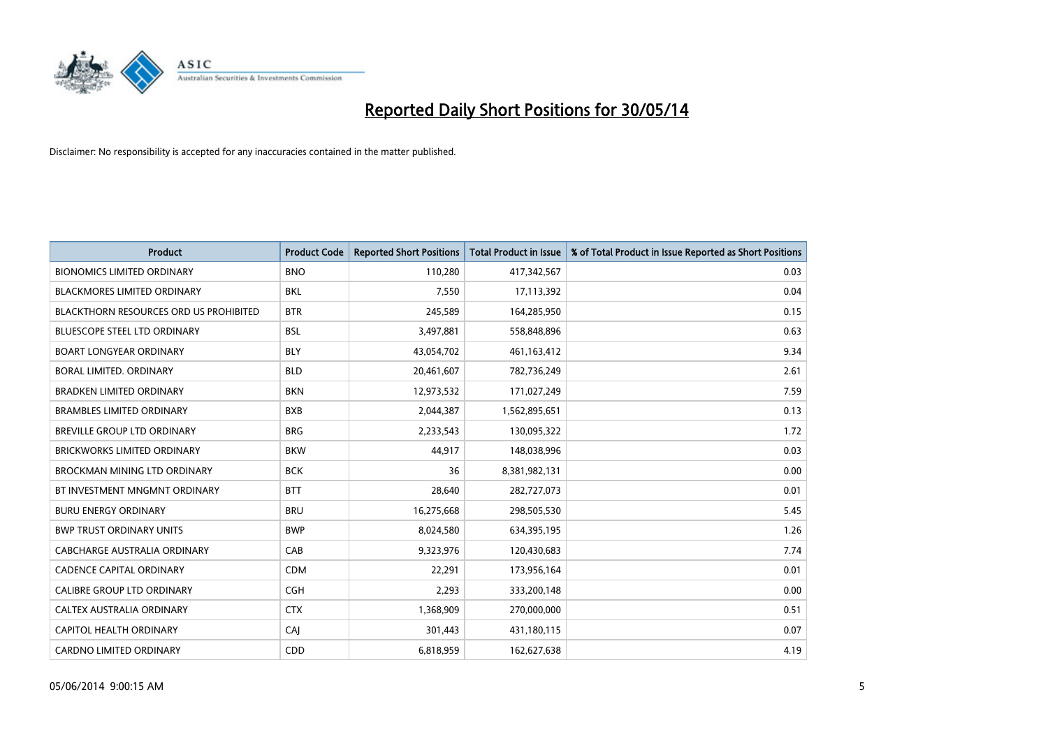

| <b>Product</b>                                | <b>Product Code</b> | <b>Reported Short Positions</b> | <b>Total Product in Issue</b> | % of Total Product in Issue Reported as Short Positions |
|-----------------------------------------------|---------------------|---------------------------------|-------------------------------|---------------------------------------------------------|
| <b>BIONOMICS LIMITED ORDINARY</b>             | <b>BNO</b>          | 110,280                         | 417,342,567                   | 0.03                                                    |
| BLACKMORES LIMITED ORDINARY                   | BKL                 | 7,550                           | 17,113,392                    | 0.04                                                    |
| <b>BLACKTHORN RESOURCES ORD US PROHIBITED</b> | <b>BTR</b>          | 245,589                         | 164,285,950                   | 0.15                                                    |
| BLUESCOPE STEEL LTD ORDINARY                  | <b>BSL</b>          | 3,497,881                       | 558,848,896                   | 0.63                                                    |
| <b>BOART LONGYEAR ORDINARY</b>                | <b>BLY</b>          | 43,054,702                      | 461,163,412                   | 9.34                                                    |
| <b>BORAL LIMITED, ORDINARY</b>                | <b>BLD</b>          | 20,461,607                      | 782,736,249                   | 2.61                                                    |
| <b>BRADKEN LIMITED ORDINARY</b>               | <b>BKN</b>          | 12,973,532                      | 171,027,249                   | 7.59                                                    |
| <b>BRAMBLES LIMITED ORDINARY</b>              | <b>BXB</b>          | 2,044,387                       | 1,562,895,651                 | 0.13                                                    |
| <b>BREVILLE GROUP LTD ORDINARY</b>            | <b>BRG</b>          | 2,233,543                       | 130,095,322                   | 1.72                                                    |
| <b>BRICKWORKS LIMITED ORDINARY</b>            | <b>BKW</b>          | 44,917                          | 148,038,996                   | 0.03                                                    |
| BROCKMAN MINING LTD ORDINARY                  | <b>BCK</b>          | 36                              | 8,381,982,131                 | 0.00                                                    |
| BT INVESTMENT MNGMNT ORDINARY                 | <b>BTT</b>          | 28,640                          | 282,727,073                   | 0.01                                                    |
| <b>BURU ENERGY ORDINARY</b>                   | <b>BRU</b>          | 16,275,668                      | 298,505,530                   | 5.45                                                    |
| <b>BWP TRUST ORDINARY UNITS</b>               | <b>BWP</b>          | 8,024,580                       | 634,395,195                   | 1.26                                                    |
| <b>CABCHARGE AUSTRALIA ORDINARY</b>           | CAB                 | 9,323,976                       | 120,430,683                   | 7.74                                                    |
| <b>CADENCE CAPITAL ORDINARY</b>               | <b>CDM</b>          | 22,291                          | 173,956,164                   | 0.01                                                    |
| CALIBRE GROUP LTD ORDINARY                    | <b>CGH</b>          | 2,293                           | 333,200,148                   | 0.00                                                    |
| CALTEX AUSTRALIA ORDINARY                     | <b>CTX</b>          | 1,368,909                       | 270,000,000                   | 0.51                                                    |
| <b>CAPITOL HEALTH ORDINARY</b>                | CAJ                 | 301,443                         | 431,180,115                   | 0.07                                                    |
| <b>CARDNO LIMITED ORDINARY</b>                | CDD                 | 6,818,959                       | 162,627,638                   | 4.19                                                    |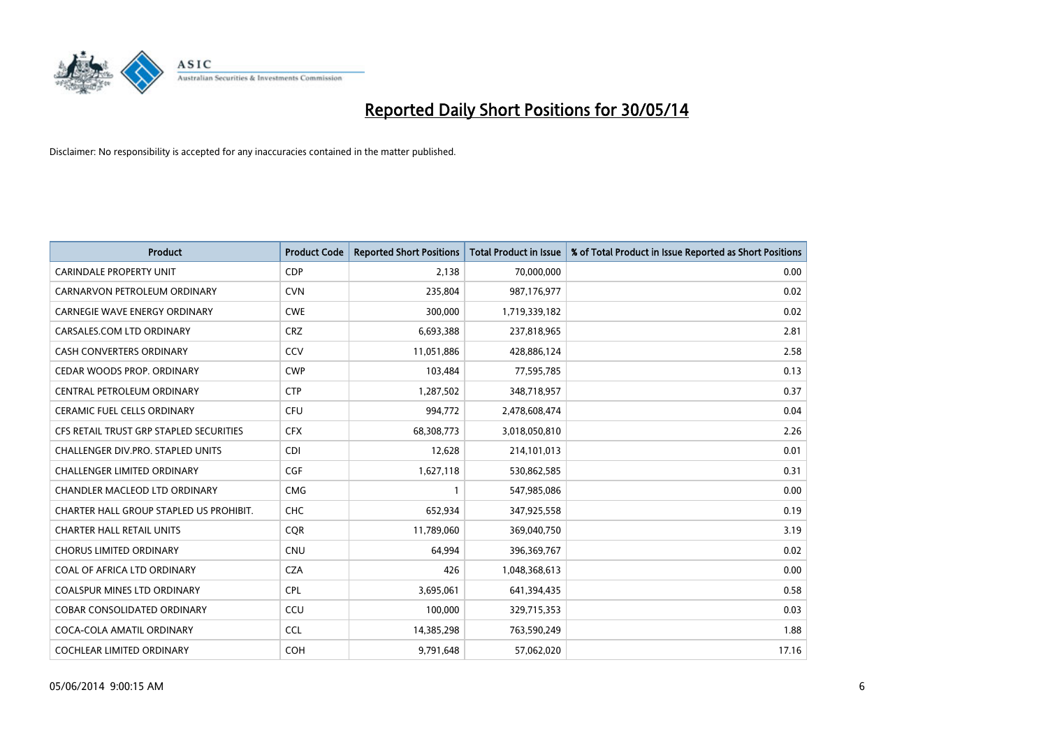

| <b>Product</b>                          | <b>Product Code</b> | <b>Reported Short Positions</b> | <b>Total Product in Issue</b> | % of Total Product in Issue Reported as Short Positions |
|-----------------------------------------|---------------------|---------------------------------|-------------------------------|---------------------------------------------------------|
| <b>CARINDALE PROPERTY UNIT</b>          | <b>CDP</b>          | 2,138                           | 70,000,000                    | 0.00                                                    |
| CARNARVON PETROLEUM ORDINARY            | <b>CVN</b>          | 235,804                         | 987,176,977                   | 0.02                                                    |
| <b>CARNEGIE WAVE ENERGY ORDINARY</b>    | <b>CWE</b>          | 300,000                         | 1,719,339,182                 | 0.02                                                    |
| CARSALES.COM LTD ORDINARY               | <b>CRZ</b>          | 6,693,388                       | 237,818,965                   | 2.81                                                    |
| <b>CASH CONVERTERS ORDINARY</b>         | CCV                 | 11,051,886                      | 428,886,124                   | 2.58                                                    |
| CEDAR WOODS PROP. ORDINARY              | <b>CWP</b>          | 103,484                         | 77,595,785                    | 0.13                                                    |
| CENTRAL PETROLEUM ORDINARY              | <b>CTP</b>          | 1,287,502                       | 348,718,957                   | 0.37                                                    |
| CERAMIC FUEL CELLS ORDINARY             | <b>CFU</b>          | 994,772                         | 2,478,608,474                 | 0.04                                                    |
| CFS RETAIL TRUST GRP STAPLED SECURITIES | <b>CFX</b>          | 68,308,773                      | 3,018,050,810                 | 2.26                                                    |
| CHALLENGER DIV.PRO. STAPLED UNITS       | <b>CDI</b>          | 12,628                          | 214,101,013                   | 0.01                                                    |
| <b>CHALLENGER LIMITED ORDINARY</b>      | <b>CGF</b>          | 1,627,118                       | 530,862,585                   | 0.31                                                    |
| CHANDLER MACLEOD LTD ORDINARY           | <b>CMG</b>          | $\mathbf{1}$                    | 547,985,086                   | 0.00                                                    |
| CHARTER HALL GROUP STAPLED US PROHIBIT. | <b>CHC</b>          | 652,934                         | 347,925,558                   | 0.19                                                    |
| <b>CHARTER HALL RETAIL UNITS</b>        | <b>COR</b>          | 11,789,060                      | 369,040,750                   | 3.19                                                    |
| <b>CHORUS LIMITED ORDINARY</b>          | <b>CNU</b>          | 64,994                          | 396,369,767                   | 0.02                                                    |
| COAL OF AFRICA LTD ORDINARY             | <b>CZA</b>          | 426                             | 1,048,368,613                 | 0.00                                                    |
| <b>COALSPUR MINES LTD ORDINARY</b>      | <b>CPL</b>          | 3,695,061                       | 641,394,435                   | 0.58                                                    |
| COBAR CONSOLIDATED ORDINARY             | CCU                 | 100,000                         | 329,715,353                   | 0.03                                                    |
| COCA-COLA AMATIL ORDINARY               | <b>CCL</b>          | 14,385,298                      | 763,590,249                   | 1.88                                                    |
| COCHLEAR LIMITED ORDINARY               | <b>COH</b>          | 9,791,648                       | 57,062,020                    | 17.16                                                   |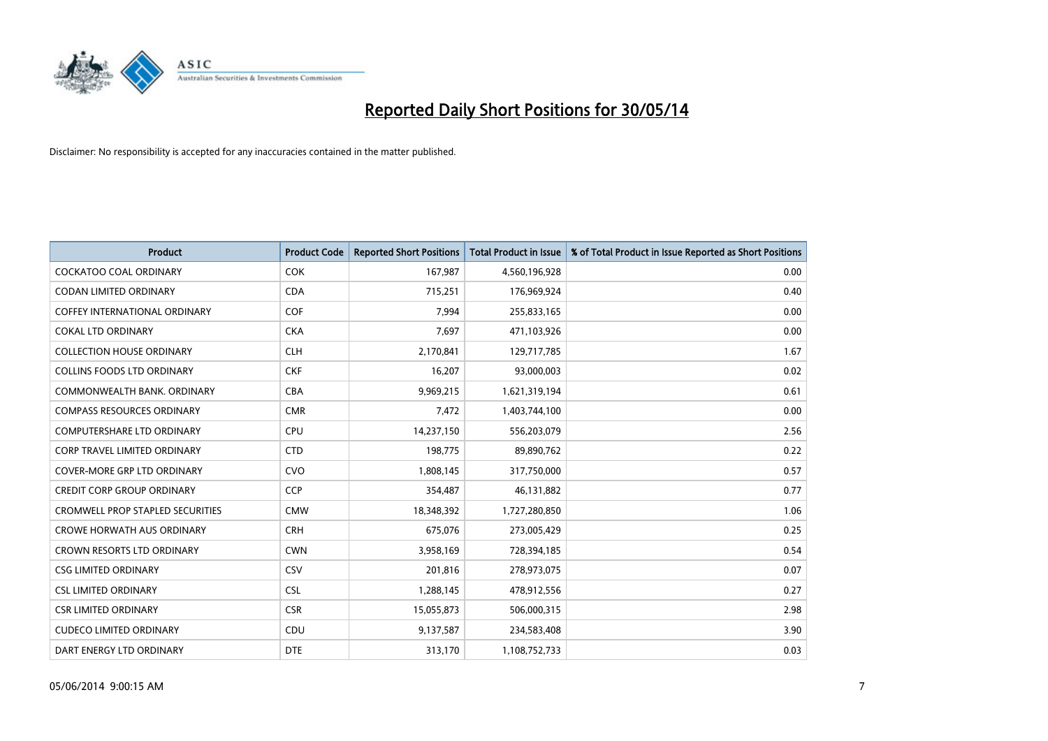

| <b>Product</b>                          | <b>Product Code</b> | <b>Reported Short Positions</b> | <b>Total Product in Issue</b> | % of Total Product in Issue Reported as Short Positions |
|-----------------------------------------|---------------------|---------------------------------|-------------------------------|---------------------------------------------------------|
| <b>COCKATOO COAL ORDINARY</b>           | <b>COK</b>          | 167,987                         | 4,560,196,928                 | 0.00                                                    |
| CODAN LIMITED ORDINARY                  | <b>CDA</b>          | 715,251                         | 176,969,924                   | 0.40                                                    |
| <b>COFFEY INTERNATIONAL ORDINARY</b>    | <b>COF</b>          | 7,994                           | 255,833,165                   | 0.00                                                    |
| <b>COKAL LTD ORDINARY</b>               | <b>CKA</b>          | 7,697                           | 471,103,926                   | 0.00                                                    |
| <b>COLLECTION HOUSE ORDINARY</b>        | <b>CLH</b>          | 2,170,841                       | 129,717,785                   | 1.67                                                    |
| <b>COLLINS FOODS LTD ORDINARY</b>       | <b>CKF</b>          | 16,207                          | 93,000,003                    | 0.02                                                    |
| COMMONWEALTH BANK, ORDINARY             | <b>CBA</b>          | 9,969,215                       | 1,621,319,194                 | 0.61                                                    |
| <b>COMPASS RESOURCES ORDINARY</b>       | <b>CMR</b>          | 7,472                           | 1,403,744,100                 | 0.00                                                    |
| <b>COMPUTERSHARE LTD ORDINARY</b>       | <b>CPU</b>          | 14,237,150                      | 556,203,079                   | 2.56                                                    |
| <b>CORP TRAVEL LIMITED ORDINARY</b>     | <b>CTD</b>          | 198,775                         | 89,890,762                    | 0.22                                                    |
| COVER-MORE GRP LTD ORDINARY             | <b>CVO</b>          | 1,808,145                       | 317,750,000                   | 0.57                                                    |
| <b>CREDIT CORP GROUP ORDINARY</b>       | <b>CCP</b>          | 354,487                         | 46,131,882                    | 0.77                                                    |
| <b>CROMWELL PROP STAPLED SECURITIES</b> | <b>CMW</b>          | 18,348,392                      | 1,727,280,850                 | 1.06                                                    |
| <b>CROWE HORWATH AUS ORDINARY</b>       | <b>CRH</b>          | 675,076                         | 273,005,429                   | 0.25                                                    |
| <b>CROWN RESORTS LTD ORDINARY</b>       | <b>CWN</b>          | 3,958,169                       | 728,394,185                   | 0.54                                                    |
| <b>CSG LIMITED ORDINARY</b>             | CSV                 | 201,816                         | 278,973,075                   | 0.07                                                    |
| <b>CSL LIMITED ORDINARY</b>             | <b>CSL</b>          | 1,288,145                       | 478,912,556                   | 0.27                                                    |
| <b>CSR LIMITED ORDINARY</b>             | <b>CSR</b>          | 15,055,873                      | 506,000,315                   | 2.98                                                    |
| <b>CUDECO LIMITED ORDINARY</b>          | <b>CDU</b>          | 9,137,587                       | 234,583,408                   | 3.90                                                    |
| DART ENERGY LTD ORDINARY                | <b>DTE</b>          | 313,170                         | 1,108,752,733                 | 0.03                                                    |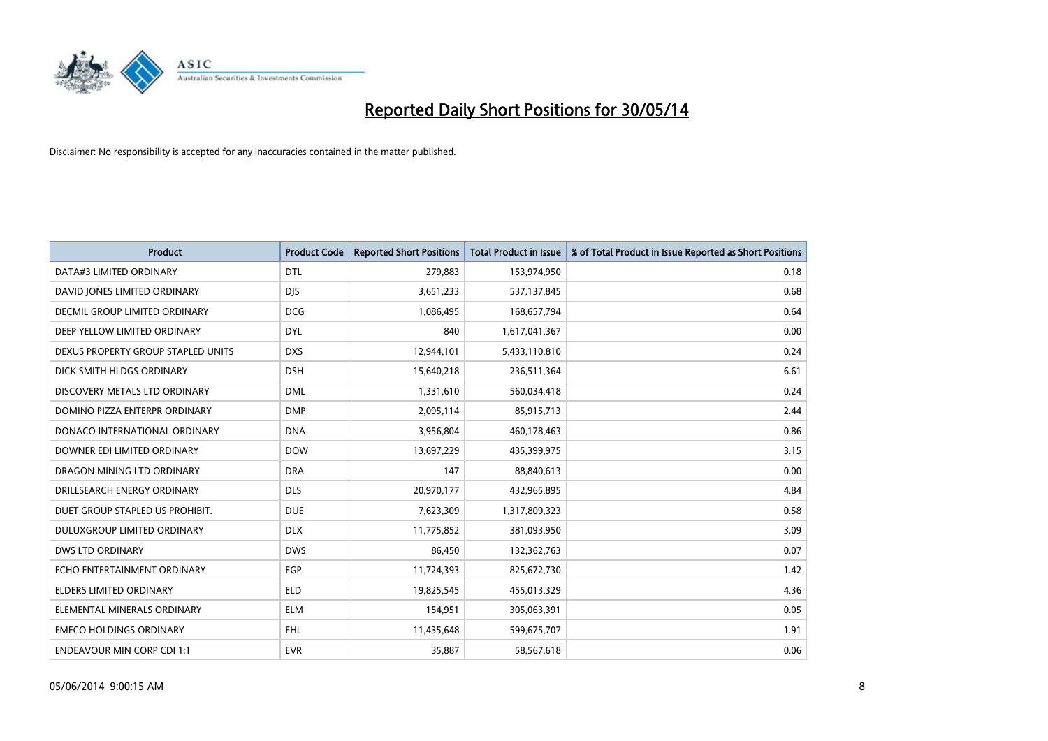

| <b>Product</b>                     | <b>Product Code</b> | <b>Reported Short Positions</b> | <b>Total Product in Issue</b> | % of Total Product in Issue Reported as Short Positions |
|------------------------------------|---------------------|---------------------------------|-------------------------------|---------------------------------------------------------|
| DATA#3 LIMITED ORDINARY            | <b>DTL</b>          | 279,883                         | 153,974,950                   | 0.18                                                    |
| DAVID JONES LIMITED ORDINARY       | <b>DIS</b>          | 3,651,233                       | 537,137,845                   | 0.68                                                    |
| DECMIL GROUP LIMITED ORDINARY      | <b>DCG</b>          | 1,086,495                       | 168,657,794                   | 0.64                                                    |
| DEEP YELLOW LIMITED ORDINARY       | <b>DYL</b>          | 840                             | 1,617,041,367                 | 0.00                                                    |
| DEXUS PROPERTY GROUP STAPLED UNITS | <b>DXS</b>          | 12,944,101                      | 5,433,110,810                 | 0.24                                                    |
| DICK SMITH HLDGS ORDINARY          | <b>DSH</b>          | 15,640,218                      | 236,511,364                   | 6.61                                                    |
| DISCOVERY METALS LTD ORDINARY      | <b>DML</b>          | 1,331,610                       | 560,034,418                   | 0.24                                                    |
| DOMINO PIZZA ENTERPR ORDINARY      | <b>DMP</b>          | 2,095,114                       | 85,915,713                    | 2.44                                                    |
| DONACO INTERNATIONAL ORDINARY      | <b>DNA</b>          | 3,956,804                       | 460,178,463                   | 0.86                                                    |
| DOWNER EDI LIMITED ORDINARY        | <b>DOW</b>          | 13,697,229                      | 435,399,975                   | 3.15                                                    |
| DRAGON MINING LTD ORDINARY         | <b>DRA</b>          | 147                             | 88,840,613                    | 0.00                                                    |
| DRILLSEARCH ENERGY ORDINARY        | <b>DLS</b>          | 20,970,177                      | 432,965,895                   | 4.84                                                    |
| DUET GROUP STAPLED US PROHIBIT.    | <b>DUE</b>          | 7,623,309                       | 1,317,809,323                 | 0.58                                                    |
| DULUXGROUP LIMITED ORDINARY        | <b>DLX</b>          | 11,775,852                      | 381,093,950                   | 3.09                                                    |
| <b>DWS LTD ORDINARY</b>            | <b>DWS</b>          | 86,450                          | 132,362,763                   | 0.07                                                    |
| ECHO ENTERTAINMENT ORDINARY        | EGP                 | 11,724,393                      | 825,672,730                   | 1.42                                                    |
| ELDERS LIMITED ORDINARY            | <b>ELD</b>          | 19,825,545                      | 455,013,329                   | 4.36                                                    |
| ELEMENTAL MINERALS ORDINARY        | <b>ELM</b>          | 154,951                         | 305,063,391                   | 0.05                                                    |
| <b>EMECO HOLDINGS ORDINARY</b>     | <b>EHL</b>          | 11,435,648                      | 599,675,707                   | 1.91                                                    |
| <b>ENDEAVOUR MIN CORP CDI 1:1</b>  | <b>EVR</b>          | 35,887                          | 58,567,618                    | 0.06                                                    |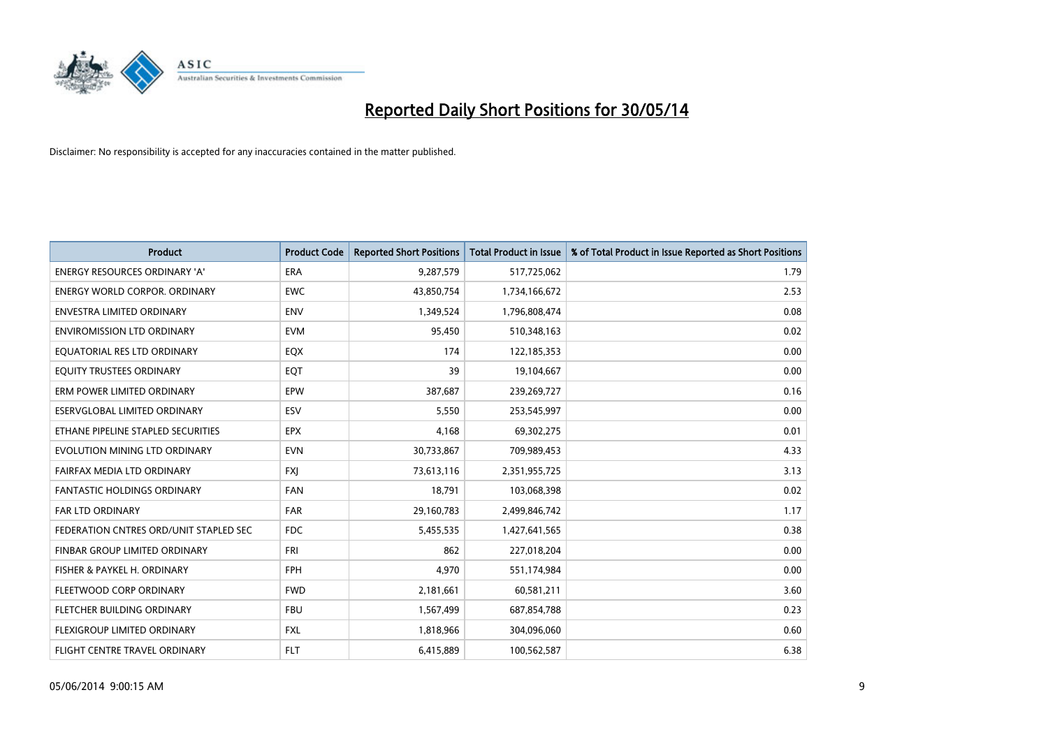

| <b>Product</b>                         | <b>Product Code</b> | <b>Reported Short Positions</b> | <b>Total Product in Issue</b> | % of Total Product in Issue Reported as Short Positions |
|----------------------------------------|---------------------|---------------------------------|-------------------------------|---------------------------------------------------------|
| ENERGY RESOURCES ORDINARY 'A'          | <b>ERA</b>          | 9,287,579                       | 517,725,062                   | 1.79                                                    |
| <b>ENERGY WORLD CORPOR, ORDINARY</b>   | <b>EWC</b>          | 43,850,754                      | 1,734,166,672                 | 2.53                                                    |
| <b>ENVESTRA LIMITED ORDINARY</b>       | <b>ENV</b>          | 1,349,524                       | 1,796,808,474                 | 0.08                                                    |
| <b>ENVIROMISSION LTD ORDINARY</b>      | <b>EVM</b>          | 95,450                          | 510,348,163                   | 0.02                                                    |
| EQUATORIAL RES LTD ORDINARY            | EQX                 | 174                             | 122,185,353                   | 0.00                                                    |
| EQUITY TRUSTEES ORDINARY               | EQT                 | 39                              | 19,104,667                    | 0.00                                                    |
| ERM POWER LIMITED ORDINARY             | EPW                 | 387,687                         | 239,269,727                   | 0.16                                                    |
| ESERVGLOBAL LIMITED ORDINARY           | ESV                 | 5,550                           | 253,545,997                   | 0.00                                                    |
| ETHANE PIPELINE STAPLED SECURITIES     | <b>EPX</b>          | 4,168                           | 69,302,275                    | 0.01                                                    |
| EVOLUTION MINING LTD ORDINARY          | <b>EVN</b>          | 30,733,867                      | 709,989,453                   | 4.33                                                    |
| FAIRFAX MEDIA LTD ORDINARY             | <b>FXI</b>          | 73,613,116                      | 2,351,955,725                 | 3.13                                                    |
| <b>FANTASTIC HOLDINGS ORDINARY</b>     | <b>FAN</b>          | 18,791                          | 103,068,398                   | 0.02                                                    |
| <b>FAR LTD ORDINARY</b>                | <b>FAR</b>          | 29,160,783                      | 2,499,846,742                 | 1.17                                                    |
| FEDERATION CNTRES ORD/UNIT STAPLED SEC | <b>FDC</b>          | 5,455,535                       | 1,427,641,565                 | 0.38                                                    |
| FINBAR GROUP LIMITED ORDINARY          | <b>FRI</b>          | 862                             | 227,018,204                   | 0.00                                                    |
| FISHER & PAYKEL H. ORDINARY            | <b>FPH</b>          | 4,970                           | 551,174,984                   | 0.00                                                    |
| FLEETWOOD CORP ORDINARY                | <b>FWD</b>          | 2,181,661                       | 60,581,211                    | 3.60                                                    |
| FLETCHER BUILDING ORDINARY             | <b>FBU</b>          | 1,567,499                       | 687,854,788                   | 0.23                                                    |
| FLEXIGROUP LIMITED ORDINARY            | <b>FXL</b>          | 1,818,966                       | 304,096,060                   | 0.60                                                    |
| FLIGHT CENTRE TRAVEL ORDINARY          | <b>FLT</b>          | 6,415,889                       | 100,562,587                   | 6.38                                                    |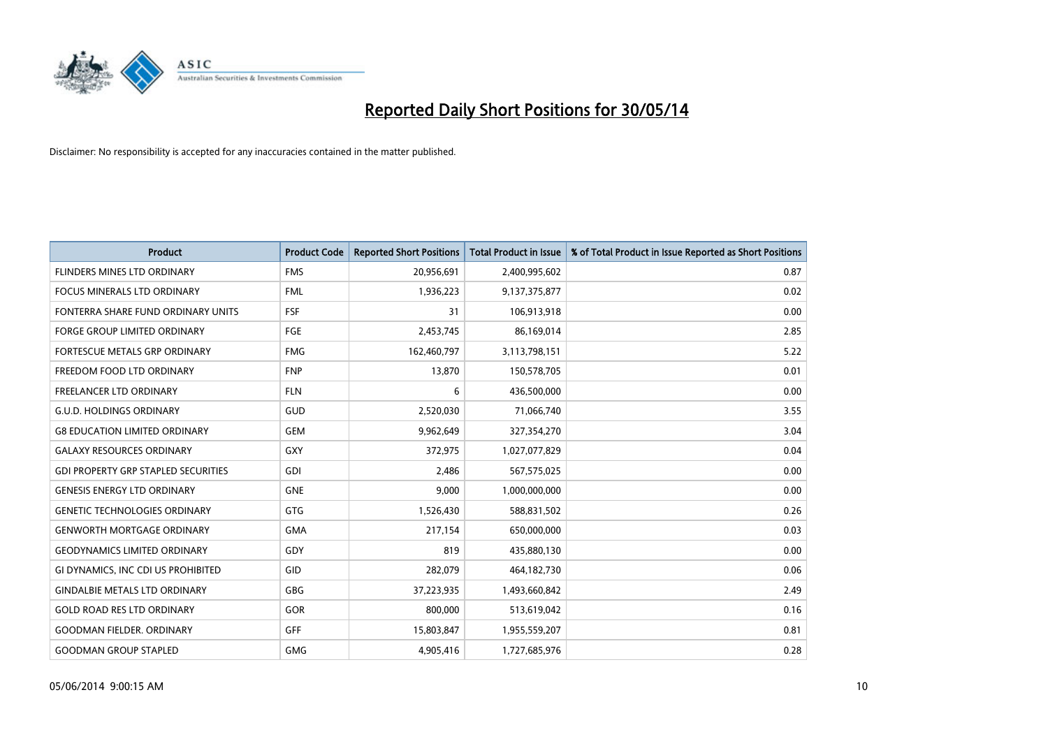

| <b>Product</b>                             | <b>Product Code</b> | <b>Reported Short Positions</b> | <b>Total Product in Issue</b> | % of Total Product in Issue Reported as Short Positions |
|--------------------------------------------|---------------------|---------------------------------|-------------------------------|---------------------------------------------------------|
| <b>FLINDERS MINES LTD ORDINARY</b>         | <b>FMS</b>          | 20,956,691                      | 2,400,995,602                 | 0.87                                                    |
| FOCUS MINERALS LTD ORDINARY                | <b>FML</b>          | 1,936,223                       | 9,137,375,877                 | 0.02                                                    |
| FONTERRA SHARE FUND ORDINARY UNITS         | <b>FSF</b>          | 31                              | 106,913,918                   | 0.00                                                    |
| FORGE GROUP LIMITED ORDINARY               | FGE                 | 2,453,745                       | 86,169,014                    | 2.85                                                    |
| <b>FORTESCUE METALS GRP ORDINARY</b>       | <b>FMG</b>          | 162,460,797                     | 3,113,798,151                 | 5.22                                                    |
| FREEDOM FOOD LTD ORDINARY                  | <b>FNP</b>          | 13,870                          | 150,578,705                   | 0.01                                                    |
| FREELANCER LTD ORDINARY                    | <b>FLN</b>          | 6                               | 436,500,000                   | 0.00                                                    |
| <b>G.U.D. HOLDINGS ORDINARY</b>            | GUD                 | 2,520,030                       | 71,066,740                    | 3.55                                                    |
| <b>G8 EDUCATION LIMITED ORDINARY</b>       | <b>GEM</b>          | 9,962,649                       | 327,354,270                   | 3.04                                                    |
| <b>GALAXY RESOURCES ORDINARY</b>           | <b>GXY</b>          | 372,975                         | 1,027,077,829                 | 0.04                                                    |
| <b>GDI PROPERTY GRP STAPLED SECURITIES</b> | GDI                 | 2,486                           | 567,575,025                   | 0.00                                                    |
| <b>GENESIS ENERGY LTD ORDINARY</b>         | <b>GNE</b>          | 9,000                           | 1,000,000,000                 | 0.00                                                    |
| <b>GENETIC TECHNOLOGIES ORDINARY</b>       | GTG                 | 1,526,430                       | 588,831,502                   | 0.26                                                    |
| <b>GENWORTH MORTGAGE ORDINARY</b>          | <b>GMA</b>          | 217,154                         | 650,000,000                   | 0.03                                                    |
| <b>GEODYNAMICS LIMITED ORDINARY</b>        | GDY                 | 819                             | 435,880,130                   | 0.00                                                    |
| GI DYNAMICS, INC CDI US PROHIBITED         | GID                 | 282,079                         | 464,182,730                   | 0.06                                                    |
| <b>GINDALBIE METALS LTD ORDINARY</b>       | GBG                 | 37,223,935                      | 1,493,660,842                 | 2.49                                                    |
| <b>GOLD ROAD RES LTD ORDINARY</b>          | GOR                 | 800,000                         | 513,619,042                   | 0.16                                                    |
| <b>GOODMAN FIELDER, ORDINARY</b>           | GFF                 | 15,803,847                      | 1,955,559,207                 | 0.81                                                    |
| <b>GOODMAN GROUP STAPLED</b>               | <b>GMG</b>          | 4,905,416                       | 1,727,685,976                 | 0.28                                                    |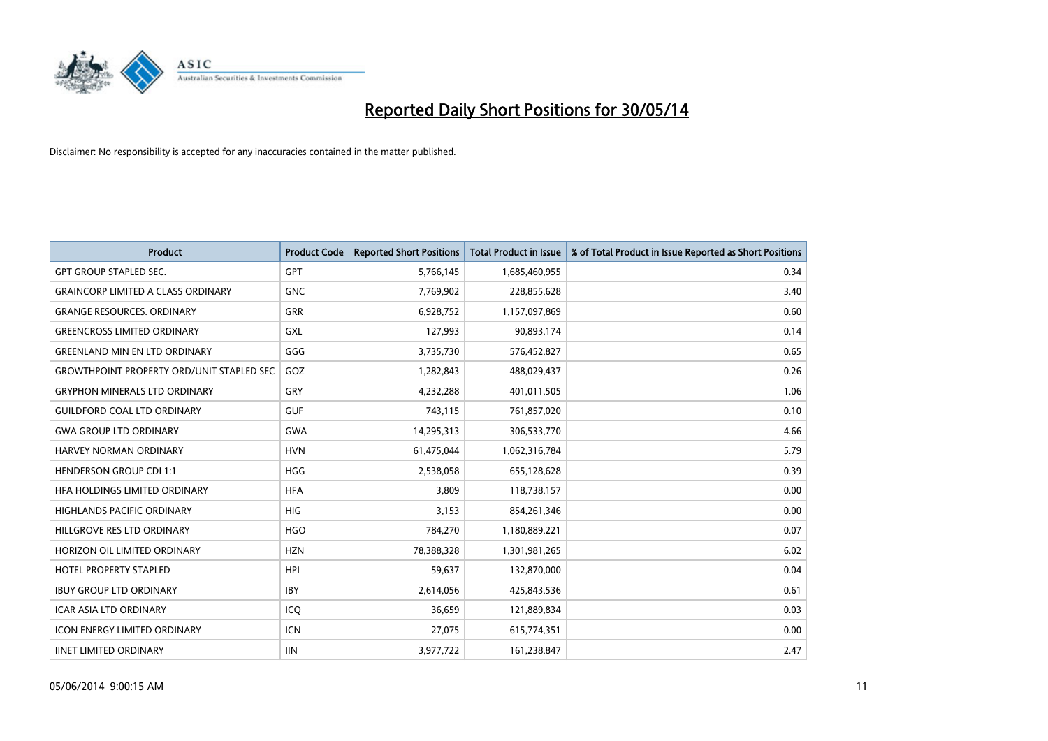

| <b>Product</b>                                   | <b>Product Code</b> | <b>Reported Short Positions</b> | <b>Total Product in Issue</b> | % of Total Product in Issue Reported as Short Positions |
|--------------------------------------------------|---------------------|---------------------------------|-------------------------------|---------------------------------------------------------|
| <b>GPT GROUP STAPLED SEC.</b>                    | GPT                 | 5,766,145                       | 1,685,460,955                 | 0.34                                                    |
| <b>GRAINCORP LIMITED A CLASS ORDINARY</b>        | <b>GNC</b>          | 7,769,902                       | 228,855,628                   | 3.40                                                    |
| <b>GRANGE RESOURCES, ORDINARY</b>                | <b>GRR</b>          | 6,928,752                       | 1,157,097,869                 | 0.60                                                    |
| <b>GREENCROSS LIMITED ORDINARY</b>               | <b>GXL</b>          | 127,993                         | 90,893,174                    | 0.14                                                    |
| <b>GREENLAND MIN EN LTD ORDINARY</b>             | GGG                 | 3,735,730                       | 576,452,827                   | 0.65                                                    |
| <b>GROWTHPOINT PROPERTY ORD/UNIT STAPLED SEC</b> | GOZ                 | 1,282,843                       | 488,029,437                   | 0.26                                                    |
| <b>GRYPHON MINERALS LTD ORDINARY</b>             | <b>GRY</b>          | 4,232,288                       | 401,011,505                   | 1.06                                                    |
| <b>GUILDFORD COAL LTD ORDINARY</b>               | <b>GUF</b>          | 743,115                         | 761,857,020                   | 0.10                                                    |
| <b>GWA GROUP LTD ORDINARY</b>                    | <b>GWA</b>          | 14,295,313                      | 306,533,770                   | 4.66                                                    |
| <b>HARVEY NORMAN ORDINARY</b>                    | <b>HVN</b>          | 61,475,044                      | 1,062,316,784                 | 5.79                                                    |
| <b>HENDERSON GROUP CDI 1:1</b>                   | <b>HGG</b>          | 2,538,058                       | 655,128,628                   | 0.39                                                    |
| HFA HOLDINGS LIMITED ORDINARY                    | <b>HFA</b>          | 3,809                           | 118,738,157                   | 0.00                                                    |
| HIGHLANDS PACIFIC ORDINARY                       | <b>HIG</b>          | 3,153                           | 854,261,346                   | 0.00                                                    |
| HILLGROVE RES LTD ORDINARY                       | <b>HGO</b>          | 784,270                         | 1,180,889,221                 | 0.07                                                    |
| HORIZON OIL LIMITED ORDINARY                     | <b>HZN</b>          | 78,388,328                      | 1,301,981,265                 | 6.02                                                    |
| HOTEL PROPERTY STAPLED                           | <b>HPI</b>          | 59,637                          | 132,870,000                   | 0.04                                                    |
| <b>IBUY GROUP LTD ORDINARY</b>                   | <b>IBY</b>          | 2,614,056                       | 425,843,536                   | 0.61                                                    |
| <b>ICAR ASIA LTD ORDINARY</b>                    | ICQ                 | 36,659                          | 121,889,834                   | 0.03                                                    |
| <b>ICON ENERGY LIMITED ORDINARY</b>              | <b>ICN</b>          | 27,075                          | 615,774,351                   | 0.00                                                    |
| <b>IINET LIMITED ORDINARY</b>                    | <b>IIN</b>          | 3,977,722                       | 161,238,847                   | 2.47                                                    |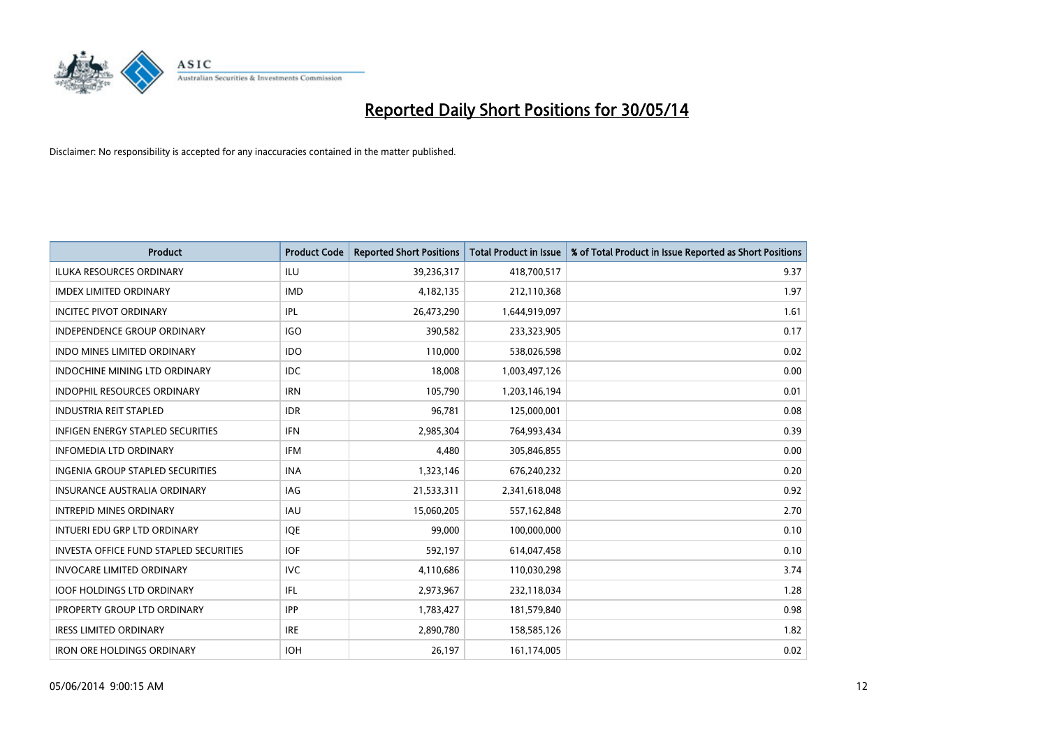

| <b>Product</b>                                | <b>Product Code</b> | <b>Reported Short Positions</b> | <b>Total Product in Issue</b> | % of Total Product in Issue Reported as Short Positions |
|-----------------------------------------------|---------------------|---------------------------------|-------------------------------|---------------------------------------------------------|
| ILUKA RESOURCES ORDINARY                      | <b>ILU</b>          | 39,236,317                      | 418,700,517                   | 9.37                                                    |
| <b>IMDEX LIMITED ORDINARY</b>                 | <b>IMD</b>          | 4,182,135                       | 212,110,368                   | 1.97                                                    |
| <b>INCITEC PIVOT ORDINARY</b>                 | IPL                 | 26,473,290                      | 1,644,919,097                 | 1.61                                                    |
| INDEPENDENCE GROUP ORDINARY                   | <b>IGO</b>          | 390,582                         | 233,323,905                   | 0.17                                                    |
| <b>INDO MINES LIMITED ORDINARY</b>            | <b>IDO</b>          | 110,000                         | 538,026,598                   | 0.02                                                    |
| INDOCHINE MINING LTD ORDINARY                 | <b>IDC</b>          | 18,008                          | 1,003,497,126                 | 0.00                                                    |
| <b>INDOPHIL RESOURCES ORDINARY</b>            | <b>IRN</b>          | 105,790                         | 1,203,146,194                 | 0.01                                                    |
| <b>INDUSTRIA REIT STAPLED</b>                 | <b>IDR</b>          | 96,781                          | 125,000,001                   | 0.08                                                    |
| <b>INFIGEN ENERGY STAPLED SECURITIES</b>      | <b>IFN</b>          | 2,985,304                       | 764,993,434                   | 0.39                                                    |
| <b>INFOMEDIA LTD ORDINARY</b>                 | <b>IFM</b>          | 4,480                           | 305,846,855                   | 0.00                                                    |
| INGENIA GROUP STAPLED SECURITIES              | <b>INA</b>          | 1,323,146                       | 676,240,232                   | 0.20                                                    |
| <b>INSURANCE AUSTRALIA ORDINARY</b>           | IAG                 | 21,533,311                      | 2,341,618,048                 | 0.92                                                    |
| <b>INTREPID MINES ORDINARY</b>                | <b>IAU</b>          | 15,060,205                      | 557,162,848                   | 2.70                                                    |
| INTUERI EDU GRP LTD ORDINARY                  | IQE                 | 99,000                          | 100,000,000                   | 0.10                                                    |
| <b>INVESTA OFFICE FUND STAPLED SECURITIES</b> | <b>IOF</b>          | 592,197                         | 614,047,458                   | 0.10                                                    |
| <b>INVOCARE LIMITED ORDINARY</b>              | <b>IVC</b>          | 4,110,686                       | 110,030,298                   | 3.74                                                    |
| <b>IOOF HOLDINGS LTD ORDINARY</b>             | IFL                 | 2,973,967                       | 232,118,034                   | 1.28                                                    |
| <b>IPROPERTY GROUP LTD ORDINARY</b>           | <b>IPP</b>          | 1,783,427                       | 181,579,840                   | 0.98                                                    |
| <b>IRESS LIMITED ORDINARY</b>                 | <b>IRE</b>          | 2,890,780                       | 158,585,126                   | 1.82                                                    |
| <b>IRON ORE HOLDINGS ORDINARY</b>             | <b>IOH</b>          | 26,197                          | 161,174,005                   | 0.02                                                    |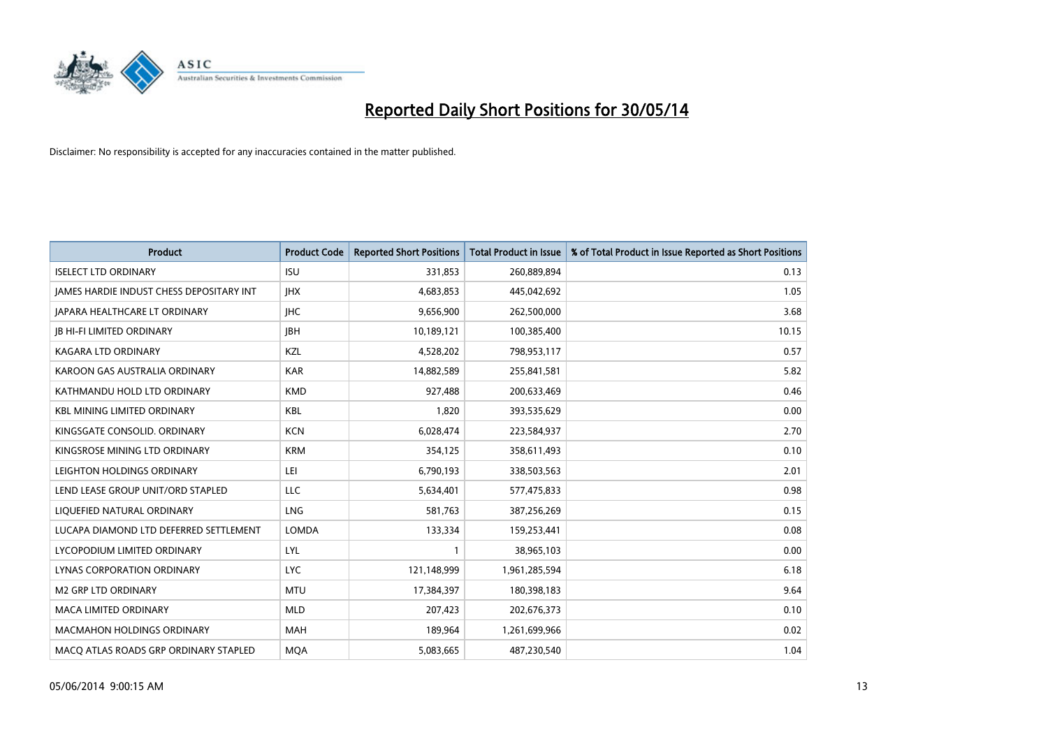

| <b>Product</b>                           | <b>Product Code</b> | <b>Reported Short Positions</b> | <b>Total Product in Issue</b> | % of Total Product in Issue Reported as Short Positions |
|------------------------------------------|---------------------|---------------------------------|-------------------------------|---------------------------------------------------------|
| <b>ISELECT LTD ORDINARY</b>              | <b>ISU</b>          | 331,853                         | 260,889,894                   | 0.13                                                    |
| JAMES HARDIE INDUST CHESS DEPOSITARY INT | <b>IHX</b>          | 4,683,853                       | 445,042,692                   | 1.05                                                    |
| <b>JAPARA HEALTHCARE LT ORDINARY</b>     | JHC                 | 9,656,900                       | 262,500,000                   | 3.68                                                    |
| <b>JB HI-FI LIMITED ORDINARY</b>         | <b>IBH</b>          | 10,189,121                      | 100,385,400                   | 10.15                                                   |
| <b>KAGARA LTD ORDINARY</b>               | <b>KZL</b>          | 4,528,202                       | 798,953,117                   | 0.57                                                    |
| KAROON GAS AUSTRALIA ORDINARY            | <b>KAR</b>          | 14,882,589                      | 255,841,581                   | 5.82                                                    |
| KATHMANDU HOLD LTD ORDINARY              | <b>KMD</b>          | 927,488                         | 200,633,469                   | 0.46                                                    |
| <b>KBL MINING LIMITED ORDINARY</b>       | <b>KBL</b>          | 1,820                           | 393,535,629                   | 0.00                                                    |
| KINGSGATE CONSOLID. ORDINARY             | <b>KCN</b>          | 6,028,474                       | 223,584,937                   | 2.70                                                    |
| KINGSROSE MINING LTD ORDINARY            | <b>KRM</b>          | 354,125                         | 358,611,493                   | 0.10                                                    |
| LEIGHTON HOLDINGS ORDINARY               | LEI                 | 6,790,193                       | 338,503,563                   | 2.01                                                    |
| LEND LEASE GROUP UNIT/ORD STAPLED        | LLC                 | 5,634,401                       | 577,475,833                   | 0.98                                                    |
| LIQUEFIED NATURAL ORDINARY               | <b>LNG</b>          | 581,763                         | 387,256,269                   | 0.15                                                    |
| LUCAPA DIAMOND LTD DEFERRED SETTLEMENT   | <b>LOMDA</b>        | 133,334                         | 159,253,441                   | 0.08                                                    |
| LYCOPODIUM LIMITED ORDINARY              | LYL                 | 1                               | 38,965,103                    | 0.00                                                    |
| <b>LYNAS CORPORATION ORDINARY</b>        | <b>LYC</b>          | 121,148,999                     | 1,961,285,594                 | 6.18                                                    |
| <b>M2 GRP LTD ORDINARY</b>               | <b>MTU</b>          | 17,384,397                      | 180,398,183                   | 9.64                                                    |
| <b>MACA LIMITED ORDINARY</b>             | <b>MLD</b>          | 207,423                         | 202,676,373                   | 0.10                                                    |
| <b>MACMAHON HOLDINGS ORDINARY</b>        | <b>MAH</b>          | 189,964                         | 1,261,699,966                 | 0.02                                                    |
| MACO ATLAS ROADS GRP ORDINARY STAPLED    | <b>MOA</b>          | 5,083,665                       | 487,230,540                   | 1.04                                                    |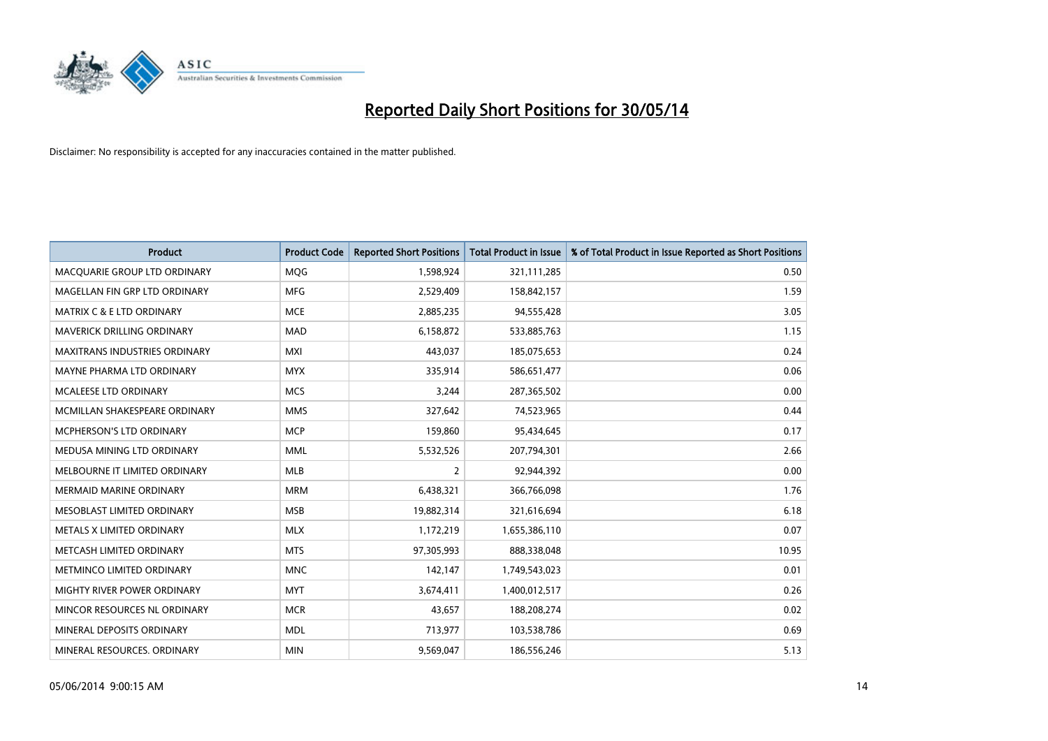

| <b>Product</b>                       | <b>Product Code</b> | <b>Reported Short Positions</b> | <b>Total Product in Issue</b> | % of Total Product in Issue Reported as Short Positions |
|--------------------------------------|---------------------|---------------------------------|-------------------------------|---------------------------------------------------------|
| MACQUARIE GROUP LTD ORDINARY         | MQG                 | 1,598,924                       | 321,111,285                   | 0.50                                                    |
| MAGELLAN FIN GRP LTD ORDINARY        | MFG                 | 2,529,409                       | 158,842,157                   | 1.59                                                    |
| <b>MATRIX C &amp; E LTD ORDINARY</b> | <b>MCE</b>          | 2,885,235                       | 94,555,428                    | 3.05                                                    |
| MAVERICK DRILLING ORDINARY           | <b>MAD</b>          | 6,158,872                       | 533,885,763                   | 1.15                                                    |
| <b>MAXITRANS INDUSTRIES ORDINARY</b> | <b>MXI</b>          | 443,037                         | 185,075,653                   | 0.24                                                    |
| MAYNE PHARMA LTD ORDINARY            | <b>MYX</b>          | 335,914                         | 586,651,477                   | 0.06                                                    |
| MCALEESE LTD ORDINARY                | <b>MCS</b>          | 3,244                           | 287,365,502                   | 0.00                                                    |
| MCMILLAN SHAKESPEARE ORDINARY        | <b>MMS</b>          | 327,642                         | 74,523,965                    | 0.44                                                    |
| <b>MCPHERSON'S LTD ORDINARY</b>      | <b>MCP</b>          | 159,860                         | 95,434,645                    | 0.17                                                    |
| MEDUSA MINING LTD ORDINARY           | <b>MML</b>          | 5,532,526                       | 207,794,301                   | 2.66                                                    |
| MELBOURNE IT LIMITED ORDINARY        | MLB                 | 2                               | 92,944,392                    | 0.00                                                    |
| <b>MERMAID MARINE ORDINARY</b>       | <b>MRM</b>          | 6,438,321                       | 366,766,098                   | 1.76                                                    |
| MESOBLAST LIMITED ORDINARY           | <b>MSB</b>          | 19,882,314                      | 321,616,694                   | 6.18                                                    |
| METALS X LIMITED ORDINARY            | <b>MLX</b>          | 1,172,219                       | 1,655,386,110                 | 0.07                                                    |
| METCASH LIMITED ORDINARY             | <b>MTS</b>          | 97,305,993                      | 888,338,048                   | 10.95                                                   |
| METMINCO LIMITED ORDINARY            | <b>MNC</b>          | 142,147                         | 1,749,543,023                 | 0.01                                                    |
| MIGHTY RIVER POWER ORDINARY          | <b>MYT</b>          | 3,674,411                       | 1,400,012,517                 | 0.26                                                    |
| MINCOR RESOURCES NL ORDINARY         | <b>MCR</b>          | 43,657                          | 188,208,274                   | 0.02                                                    |
| MINERAL DEPOSITS ORDINARY            | <b>MDL</b>          | 713,977                         | 103,538,786                   | 0.69                                                    |
| MINERAL RESOURCES. ORDINARY          | <b>MIN</b>          | 9,569,047                       | 186,556,246                   | 5.13                                                    |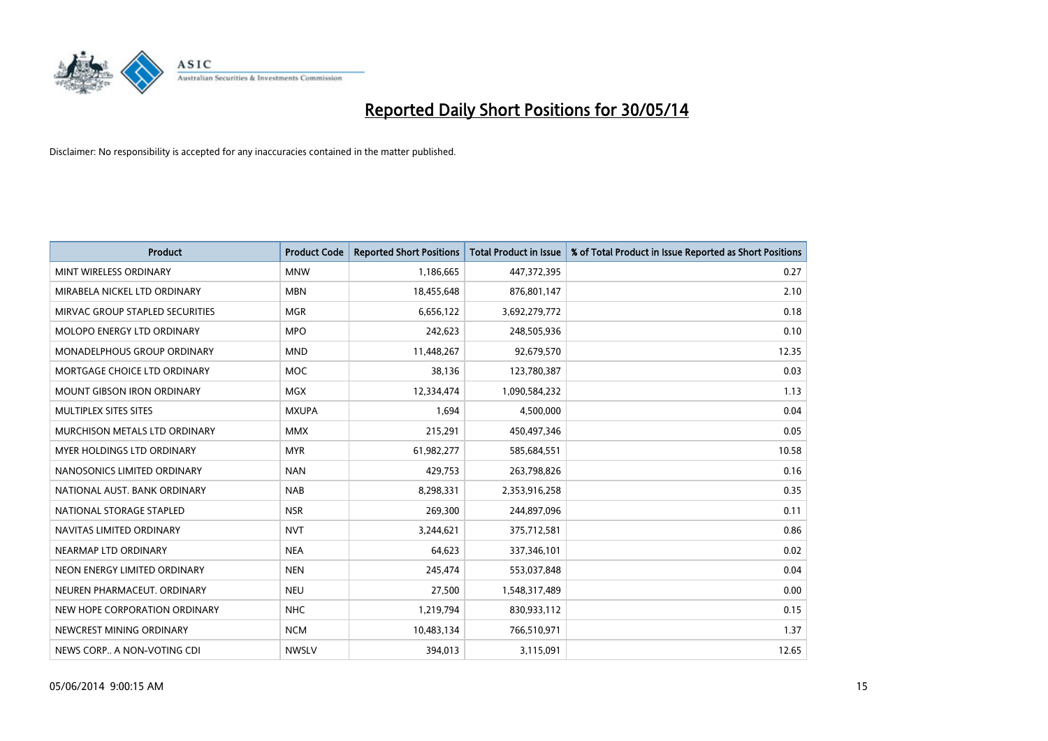

| <b>Product</b>                    | <b>Product Code</b> | <b>Reported Short Positions</b> | <b>Total Product in Issue</b> | % of Total Product in Issue Reported as Short Positions |
|-----------------------------------|---------------------|---------------------------------|-------------------------------|---------------------------------------------------------|
| MINT WIRELESS ORDINARY            | <b>MNW</b>          | 1,186,665                       | 447,372,395                   | 0.27                                                    |
| MIRABELA NICKEL LTD ORDINARY      | <b>MBN</b>          | 18,455,648                      | 876,801,147                   | 2.10                                                    |
| MIRVAC GROUP STAPLED SECURITIES   | <b>MGR</b>          | 6,656,122                       | 3,692,279,772                 | 0.18                                                    |
| MOLOPO ENERGY LTD ORDINARY        | <b>MPO</b>          | 242,623                         | 248,505,936                   | 0.10                                                    |
| MONADELPHOUS GROUP ORDINARY       | <b>MND</b>          | 11,448,267                      | 92,679,570                    | 12.35                                                   |
| MORTGAGE CHOICE LTD ORDINARY      | MOC                 | 38,136                          | 123,780,387                   | 0.03                                                    |
| <b>MOUNT GIBSON IRON ORDINARY</b> | <b>MGX</b>          | 12,334,474                      | 1,090,584,232                 | 1.13                                                    |
| MULTIPLEX SITES SITES             | <b>MXUPA</b>        | 1,694                           | 4,500,000                     | 0.04                                                    |
| MURCHISON METALS LTD ORDINARY     | <b>MMX</b>          | 215,291                         | 450,497,346                   | 0.05                                                    |
| MYER HOLDINGS LTD ORDINARY        | <b>MYR</b>          | 61,982,277                      | 585,684,551                   | 10.58                                                   |
| NANOSONICS LIMITED ORDINARY       | <b>NAN</b>          | 429,753                         | 263,798,826                   | 0.16                                                    |
| NATIONAL AUST. BANK ORDINARY      | <b>NAB</b>          | 8,298,331                       | 2,353,916,258                 | 0.35                                                    |
| NATIONAL STORAGE STAPLED          | <b>NSR</b>          | 269,300                         | 244,897,096                   | 0.11                                                    |
| NAVITAS LIMITED ORDINARY          | <b>NVT</b>          | 3,244,621                       | 375,712,581                   | 0.86                                                    |
| NEARMAP LTD ORDINARY              | <b>NEA</b>          | 64,623                          | 337,346,101                   | 0.02                                                    |
| NEON ENERGY LIMITED ORDINARY      | <b>NEN</b>          | 245,474                         | 553,037,848                   | 0.04                                                    |
| NEUREN PHARMACEUT. ORDINARY       | <b>NEU</b>          | 27,500                          | 1,548,317,489                 | 0.00                                                    |
| NEW HOPE CORPORATION ORDINARY     | <b>NHC</b>          | 1,219,794                       | 830,933,112                   | 0.15                                                    |
| NEWCREST MINING ORDINARY          | <b>NCM</b>          | 10,483,134                      | 766,510,971                   | 1.37                                                    |
| NEWS CORP A NON-VOTING CDI        | <b>NWSLV</b>        | 394,013                         | 3,115,091                     | 12.65                                                   |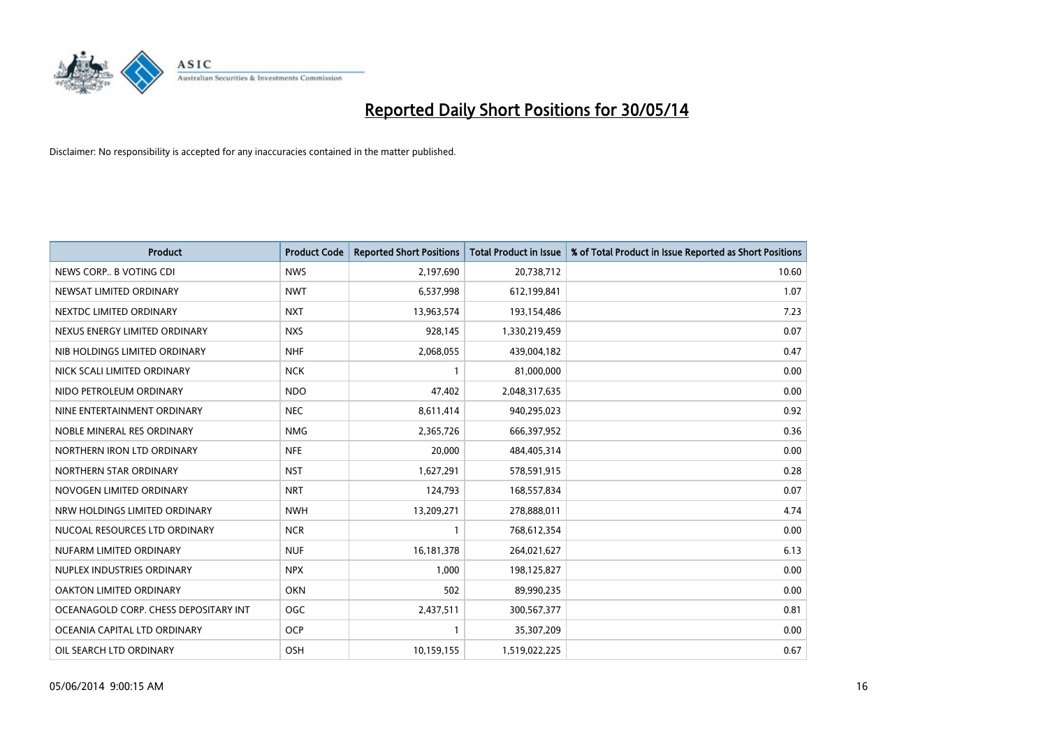

| <b>Product</b>                        | <b>Product Code</b> | <b>Reported Short Positions</b> | <b>Total Product in Issue</b> | % of Total Product in Issue Reported as Short Positions |
|---------------------------------------|---------------------|---------------------------------|-------------------------------|---------------------------------------------------------|
| NEWS CORP B VOTING CDI                | <b>NWS</b>          | 2,197,690                       | 20,738,712                    | 10.60                                                   |
| NEWSAT LIMITED ORDINARY               | <b>NWT</b>          | 6,537,998                       | 612,199,841                   | 1.07                                                    |
| NEXTDC LIMITED ORDINARY               | <b>NXT</b>          | 13,963,574                      | 193,154,486                   | 7.23                                                    |
| NEXUS ENERGY LIMITED ORDINARY         | <b>NXS</b>          | 928,145                         | 1,330,219,459                 | 0.07                                                    |
| NIB HOLDINGS LIMITED ORDINARY         | <b>NHF</b>          | 2,068,055                       | 439,004,182                   | 0.47                                                    |
| NICK SCALI LIMITED ORDINARY           | <b>NCK</b>          | 1                               | 81,000,000                    | 0.00                                                    |
| NIDO PETROLEUM ORDINARY               | <b>NDO</b>          | 47,402                          | 2,048,317,635                 | 0.00                                                    |
| NINE ENTERTAINMENT ORDINARY           | <b>NEC</b>          | 8,611,414                       | 940,295,023                   | 0.92                                                    |
| NOBLE MINERAL RES ORDINARY            | <b>NMG</b>          | 2,365,726                       | 666,397,952                   | 0.36                                                    |
| NORTHERN IRON LTD ORDINARY            | <b>NFE</b>          | 20,000                          | 484,405,314                   | 0.00                                                    |
| NORTHERN STAR ORDINARY                | <b>NST</b>          | 1,627,291                       | 578,591,915                   | 0.28                                                    |
| NOVOGEN LIMITED ORDINARY              | <b>NRT</b>          | 124,793                         | 168,557,834                   | 0.07                                                    |
| NRW HOLDINGS LIMITED ORDINARY         | <b>NWH</b>          | 13,209,271                      | 278,888,011                   | 4.74                                                    |
| NUCOAL RESOURCES LTD ORDINARY         | <b>NCR</b>          | $\mathbf{1}$                    | 768,612,354                   | 0.00                                                    |
| NUFARM LIMITED ORDINARY               | <b>NUF</b>          | 16, 181, 378                    | 264,021,627                   | 6.13                                                    |
| NUPLEX INDUSTRIES ORDINARY            | <b>NPX</b>          | 1,000                           | 198,125,827                   | 0.00                                                    |
| OAKTON LIMITED ORDINARY               | <b>OKN</b>          | 502                             | 89,990,235                    | 0.00                                                    |
| OCEANAGOLD CORP. CHESS DEPOSITARY INT | <b>OGC</b>          | 2,437,511                       | 300,567,377                   | 0.81                                                    |
| OCEANIA CAPITAL LTD ORDINARY          | <b>OCP</b>          | $\mathbf{1}$                    | 35,307,209                    | 0.00                                                    |
| OIL SEARCH LTD ORDINARY               | OSH                 | 10,159,155                      | 1,519,022,225                 | 0.67                                                    |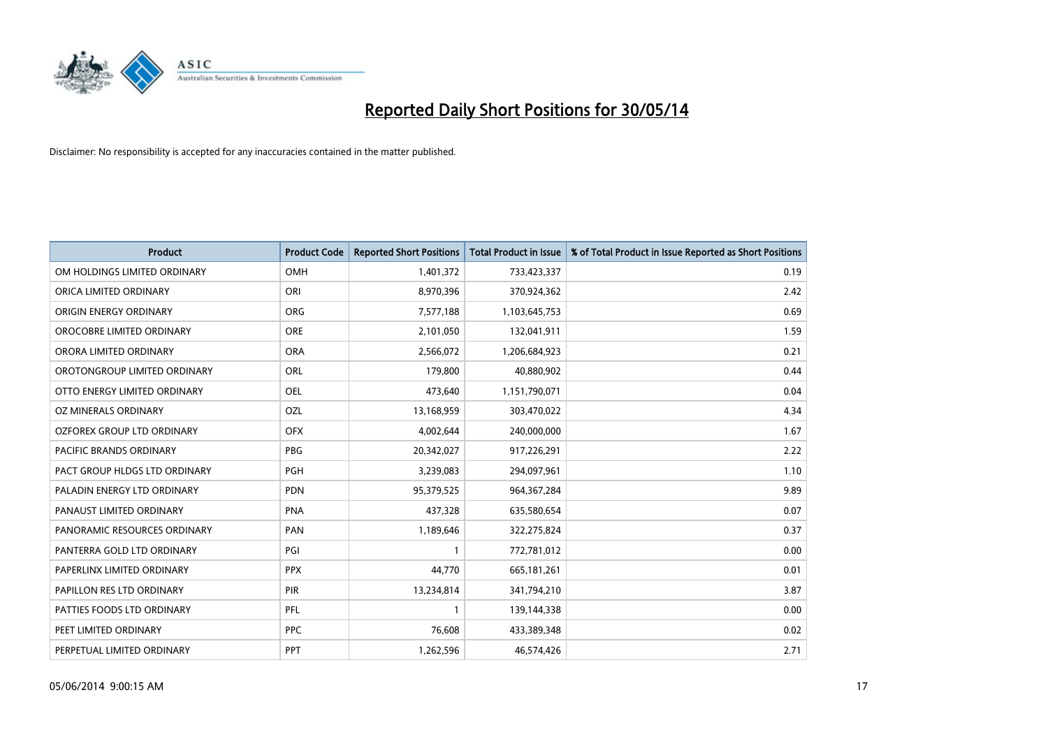

| <b>Product</b>                 | <b>Product Code</b> | <b>Reported Short Positions</b> | <b>Total Product in Issue</b> | % of Total Product in Issue Reported as Short Positions |
|--------------------------------|---------------------|---------------------------------|-------------------------------|---------------------------------------------------------|
| OM HOLDINGS LIMITED ORDINARY   | <b>OMH</b>          | 1,401,372                       | 733,423,337                   | 0.19                                                    |
| ORICA LIMITED ORDINARY         | ORI                 | 8,970,396                       | 370,924,362                   | 2.42                                                    |
| ORIGIN ENERGY ORDINARY         | <b>ORG</b>          | 7,577,188                       | 1,103,645,753                 | 0.69                                                    |
| OROCOBRE LIMITED ORDINARY      | <b>ORE</b>          | 2,101,050                       | 132,041,911                   | 1.59                                                    |
| ORORA LIMITED ORDINARY         | <b>ORA</b>          | 2,566,072                       | 1,206,684,923                 | 0.21                                                    |
| OROTONGROUP LIMITED ORDINARY   | ORL                 | 179,800                         | 40,880,902                    | 0.44                                                    |
| OTTO ENERGY LIMITED ORDINARY   | <b>OEL</b>          | 473,640                         | 1,151,790,071                 | 0.04                                                    |
| OZ MINERALS ORDINARY           | OZL                 | 13,168,959                      | 303,470,022                   | 4.34                                                    |
| OZFOREX GROUP LTD ORDINARY     | <b>OFX</b>          | 4,002,644                       | 240,000,000                   | 1.67                                                    |
| <b>PACIFIC BRANDS ORDINARY</b> | <b>PBG</b>          | 20,342,027                      | 917,226,291                   | 2.22                                                    |
| PACT GROUP HLDGS LTD ORDINARY  | <b>PGH</b>          | 3,239,083                       | 294,097,961                   | 1.10                                                    |
| PALADIN ENERGY LTD ORDINARY    | <b>PDN</b>          | 95,379,525                      | 964, 367, 284                 | 9.89                                                    |
| PANAUST LIMITED ORDINARY       | <b>PNA</b>          | 437,328                         | 635,580,654                   | 0.07                                                    |
| PANORAMIC RESOURCES ORDINARY   | PAN                 | 1,189,646                       | 322,275,824                   | 0.37                                                    |
| PANTERRA GOLD LTD ORDINARY     | PGI                 | $\mathbf{1}$                    | 772,781,012                   | 0.00                                                    |
| PAPERLINX LIMITED ORDINARY     | <b>PPX</b>          | 44,770                          | 665, 181, 261                 | 0.01                                                    |
| PAPILLON RES LTD ORDINARY      | PIR                 | 13,234,814                      | 341,794,210                   | 3.87                                                    |
| PATTIES FOODS LTD ORDINARY     | PFL                 | $\mathbf 1$                     | 139,144,338                   | 0.00                                                    |
| PEET LIMITED ORDINARY          | <b>PPC</b>          | 76,608                          | 433,389,348                   | 0.02                                                    |
| PERPETUAL LIMITED ORDINARY     | PPT                 | 1,262,596                       | 46,574,426                    | 2.71                                                    |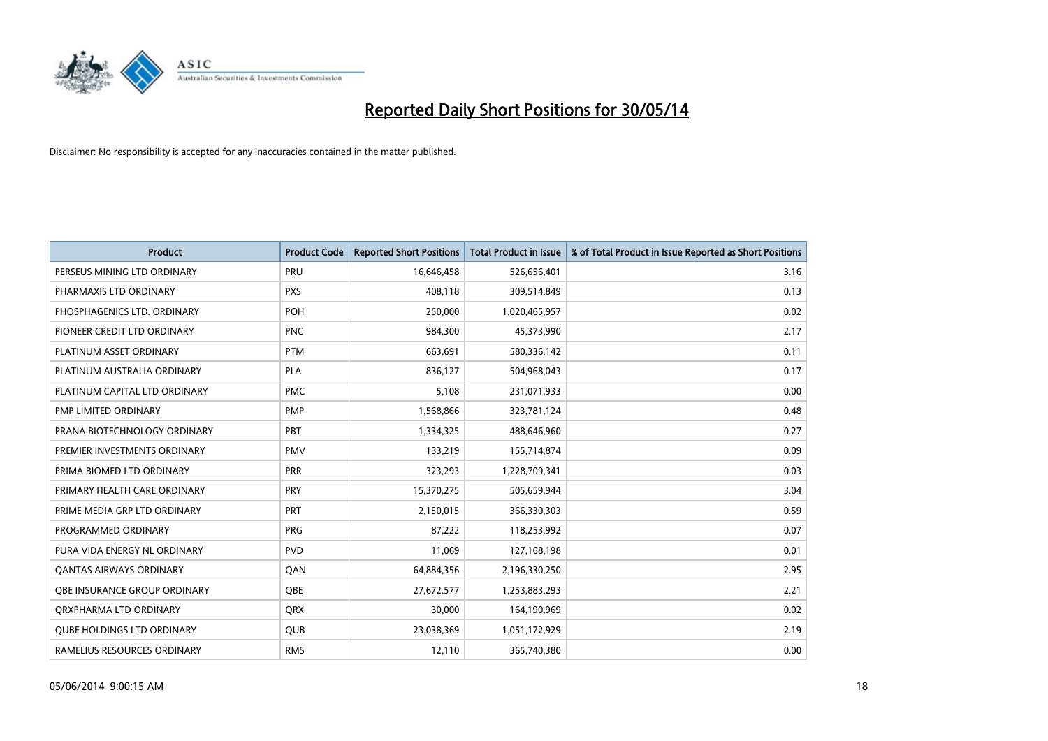

| <b>Product</b>                    | <b>Product Code</b> | <b>Reported Short Positions</b> | <b>Total Product in Issue</b> | % of Total Product in Issue Reported as Short Positions |
|-----------------------------------|---------------------|---------------------------------|-------------------------------|---------------------------------------------------------|
| PERSEUS MINING LTD ORDINARY       | PRU                 | 16,646,458                      | 526,656,401                   | 3.16                                                    |
| PHARMAXIS LTD ORDINARY            | <b>PXS</b>          | 408,118                         | 309,514,849                   | 0.13                                                    |
| PHOSPHAGENICS LTD. ORDINARY       | POH                 | 250,000                         | 1,020,465,957                 | 0.02                                                    |
| PIONEER CREDIT LTD ORDINARY       | <b>PNC</b>          | 984,300                         | 45,373,990                    | 2.17                                                    |
| PLATINUM ASSET ORDINARY           | <b>PTM</b>          | 663,691                         | 580,336,142                   | 0.11                                                    |
| PLATINUM AUSTRALIA ORDINARY       | <b>PLA</b>          | 836,127                         | 504,968,043                   | 0.17                                                    |
| PLATINUM CAPITAL LTD ORDINARY     | <b>PMC</b>          | 5,108                           | 231,071,933                   | 0.00                                                    |
| PMP LIMITED ORDINARY              | <b>PMP</b>          | 1,568,866                       | 323,781,124                   | 0.48                                                    |
| PRANA BIOTECHNOLOGY ORDINARY      | PBT                 | 1,334,325                       | 488,646,960                   | 0.27                                                    |
| PREMIER INVESTMENTS ORDINARY      | <b>PMV</b>          | 133,219                         | 155,714,874                   | 0.09                                                    |
| PRIMA BIOMED LTD ORDINARY         | <b>PRR</b>          | 323,293                         | 1,228,709,341                 | 0.03                                                    |
| PRIMARY HEALTH CARE ORDINARY      | <b>PRY</b>          | 15,370,275                      | 505,659,944                   | 3.04                                                    |
| PRIME MEDIA GRP LTD ORDINARY      | <b>PRT</b>          | 2,150,015                       | 366,330,303                   | 0.59                                                    |
| PROGRAMMED ORDINARY               | <b>PRG</b>          | 87,222                          | 118,253,992                   | 0.07                                                    |
| PURA VIDA ENERGY NL ORDINARY      | <b>PVD</b>          | 11,069                          | 127,168,198                   | 0.01                                                    |
| <b>QANTAS AIRWAYS ORDINARY</b>    | QAN                 | 64,884,356                      | 2,196,330,250                 | 2.95                                                    |
| OBE INSURANCE GROUP ORDINARY      | <b>OBE</b>          | 27,672,577                      | 1,253,883,293                 | 2.21                                                    |
| ORXPHARMA LTD ORDINARY            | QRX                 | 30,000                          | 164,190,969                   | 0.02                                                    |
| <b>QUBE HOLDINGS LTD ORDINARY</b> | QUB                 | 23,038,369                      | 1,051,172,929                 | 2.19                                                    |
| RAMELIUS RESOURCES ORDINARY       | <b>RMS</b>          | 12,110                          | 365,740,380                   | 0.00                                                    |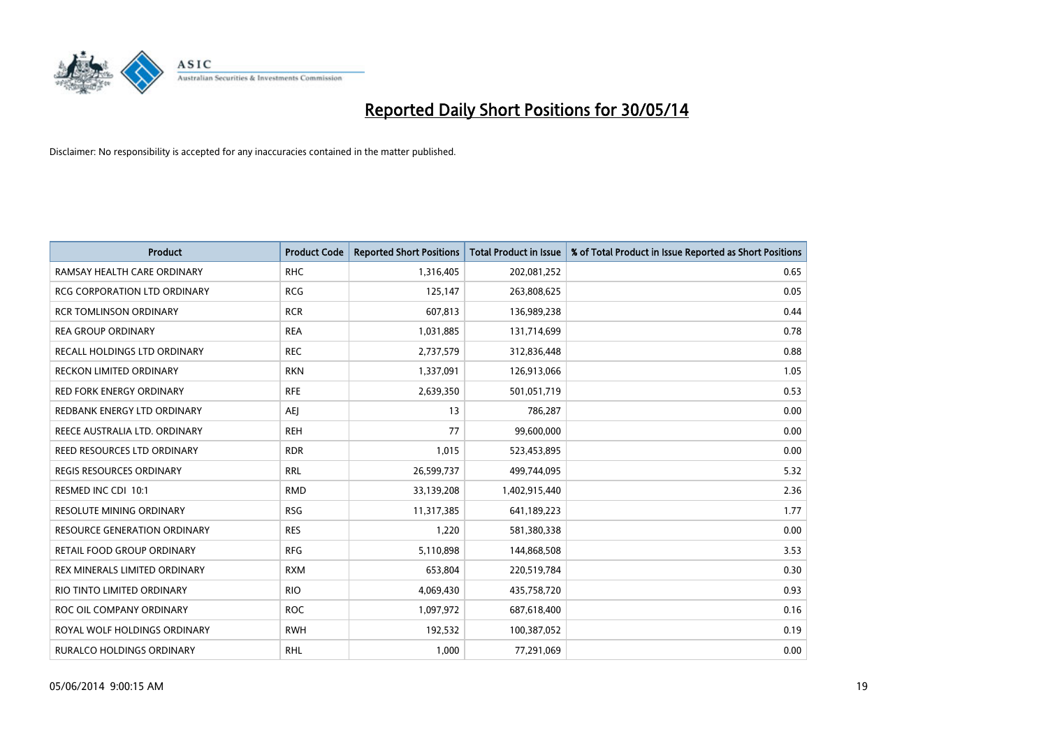

| <b>Product</b>                      | <b>Product Code</b> | <b>Reported Short Positions</b> | <b>Total Product in Issue</b> | % of Total Product in Issue Reported as Short Positions |
|-------------------------------------|---------------------|---------------------------------|-------------------------------|---------------------------------------------------------|
| RAMSAY HEALTH CARE ORDINARY         | <b>RHC</b>          | 1,316,405                       | 202,081,252                   | 0.65                                                    |
| <b>RCG CORPORATION LTD ORDINARY</b> | <b>RCG</b>          | 125,147                         | 263,808,625                   | 0.05                                                    |
| RCR TOMLINSON ORDINARY              | <b>RCR</b>          | 607,813                         | 136,989,238                   | 0.44                                                    |
| <b>REA GROUP ORDINARY</b>           | <b>REA</b>          | 1,031,885                       | 131,714,699                   | 0.78                                                    |
| RECALL HOLDINGS LTD ORDINARY        | <b>REC</b>          | 2,737,579                       | 312,836,448                   | 0.88                                                    |
| <b>RECKON LIMITED ORDINARY</b>      | <b>RKN</b>          | 1,337,091                       | 126,913,066                   | 1.05                                                    |
| <b>RED FORK ENERGY ORDINARY</b>     | <b>RFE</b>          | 2,639,350                       | 501,051,719                   | 0.53                                                    |
| REDBANK ENERGY LTD ORDINARY         | AEJ                 | 13                              | 786,287                       | 0.00                                                    |
| REECE AUSTRALIA LTD. ORDINARY       | <b>REH</b>          | 77                              | 99,600,000                    | 0.00                                                    |
| <b>REED RESOURCES LTD ORDINARY</b>  | <b>RDR</b>          | 1,015                           | 523,453,895                   | 0.00                                                    |
| <b>REGIS RESOURCES ORDINARY</b>     | <b>RRL</b>          | 26,599,737                      | 499,744,095                   | 5.32                                                    |
| RESMED INC CDI 10:1                 | <b>RMD</b>          | 33,139,208                      | 1,402,915,440                 | 2.36                                                    |
| RESOLUTE MINING ORDINARY            | <b>RSG</b>          | 11,317,385                      | 641,189,223                   | 1.77                                                    |
| <b>RESOURCE GENERATION ORDINARY</b> | <b>RES</b>          | 1,220                           | 581,380,338                   | 0.00                                                    |
| RETAIL FOOD GROUP ORDINARY          | <b>RFG</b>          | 5,110,898                       | 144,868,508                   | 3.53                                                    |
| REX MINERALS LIMITED ORDINARY       | <b>RXM</b>          | 653,804                         | 220,519,784                   | 0.30                                                    |
| RIO TINTO LIMITED ORDINARY          | <b>RIO</b>          | 4,069,430                       | 435,758,720                   | 0.93                                                    |
| ROC OIL COMPANY ORDINARY            | <b>ROC</b>          | 1,097,972                       | 687,618,400                   | 0.16                                                    |
| ROYAL WOLF HOLDINGS ORDINARY        | <b>RWH</b>          | 192,532                         | 100,387,052                   | 0.19                                                    |
| <b>RURALCO HOLDINGS ORDINARY</b>    | <b>RHL</b>          | 1,000                           | 77,291,069                    | 0.00                                                    |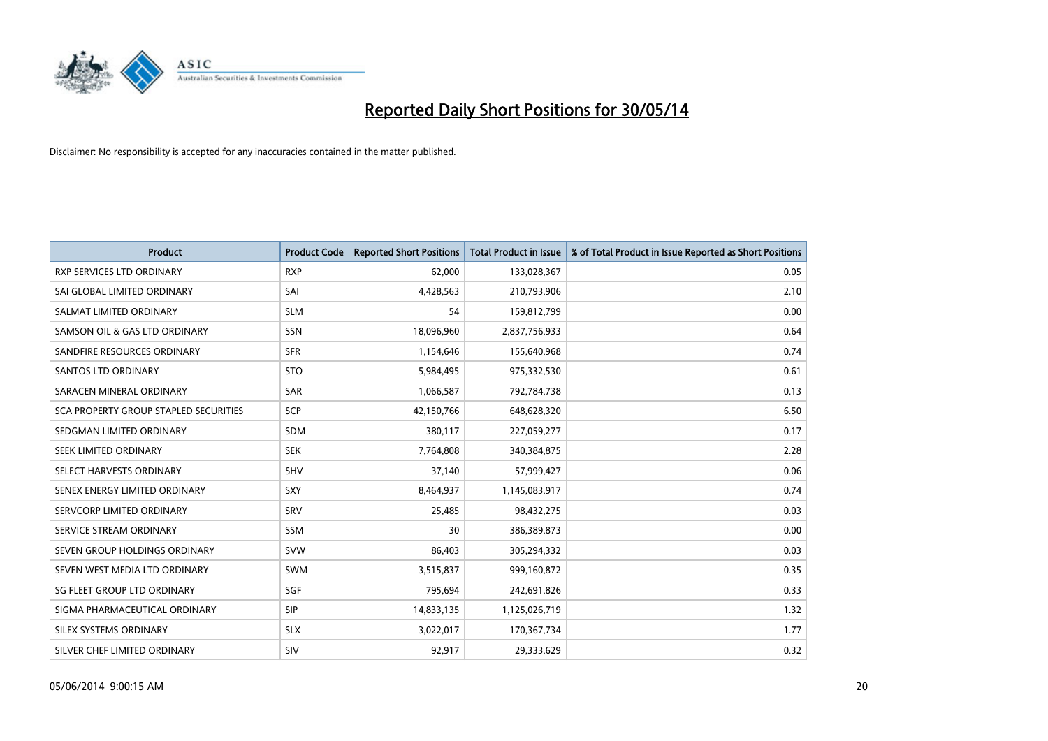

| <b>Product</b>                        | <b>Product Code</b> | <b>Reported Short Positions</b> | <b>Total Product in Issue</b> | % of Total Product in Issue Reported as Short Positions |
|---------------------------------------|---------------------|---------------------------------|-------------------------------|---------------------------------------------------------|
| <b>RXP SERVICES LTD ORDINARY</b>      | <b>RXP</b>          | 62,000                          | 133,028,367                   | 0.05                                                    |
| SAI GLOBAL LIMITED ORDINARY           | SAI                 | 4,428,563                       | 210,793,906                   | 2.10                                                    |
| SALMAT LIMITED ORDINARY               | <b>SLM</b>          | 54                              | 159,812,799                   | 0.00                                                    |
| SAMSON OIL & GAS LTD ORDINARY         | SSN                 | 18,096,960                      | 2,837,756,933                 | 0.64                                                    |
| SANDFIRE RESOURCES ORDINARY           | <b>SFR</b>          | 1,154,646                       | 155,640,968                   | 0.74                                                    |
| SANTOS LTD ORDINARY                   | <b>STO</b>          | 5,984,495                       | 975,332,530                   | 0.61                                                    |
| SARACEN MINERAL ORDINARY              | <b>SAR</b>          | 1,066,587                       | 792,784,738                   | 0.13                                                    |
| SCA PROPERTY GROUP STAPLED SECURITIES | <b>SCP</b>          | 42,150,766                      | 648,628,320                   | 6.50                                                    |
| SEDGMAN LIMITED ORDINARY              | <b>SDM</b>          | 380,117                         | 227,059,277                   | 0.17                                                    |
| SEEK LIMITED ORDINARY                 | <b>SEK</b>          | 7,764,808                       | 340,384,875                   | 2.28                                                    |
| SELECT HARVESTS ORDINARY              | SHV                 | 37,140                          | 57,999,427                    | 0.06                                                    |
| SENEX ENERGY LIMITED ORDINARY         | <b>SXY</b>          | 8,464,937                       | 1,145,083,917                 | 0.74                                                    |
| SERVCORP LIMITED ORDINARY             | SRV                 | 25,485                          | 98,432,275                    | 0.03                                                    |
| SERVICE STREAM ORDINARY               | SSM                 | 30                              | 386,389,873                   | 0.00                                                    |
| SEVEN GROUP HOLDINGS ORDINARY         | <b>SVW</b>          | 86,403                          | 305,294,332                   | 0.03                                                    |
| SEVEN WEST MEDIA LTD ORDINARY         | SWM                 | 3,515,837                       | 999,160,872                   | 0.35                                                    |
| SG FLEET GROUP LTD ORDINARY           | SGF                 | 795,694                         | 242,691,826                   | 0.33                                                    |
| SIGMA PHARMACEUTICAL ORDINARY         | <b>SIP</b>          | 14,833,135                      | 1,125,026,719                 | 1.32                                                    |
| SILEX SYSTEMS ORDINARY                | <b>SLX</b>          | 3,022,017                       | 170,367,734                   | 1.77                                                    |
| SILVER CHEF LIMITED ORDINARY          | SIV                 | 92,917                          | 29,333,629                    | 0.32                                                    |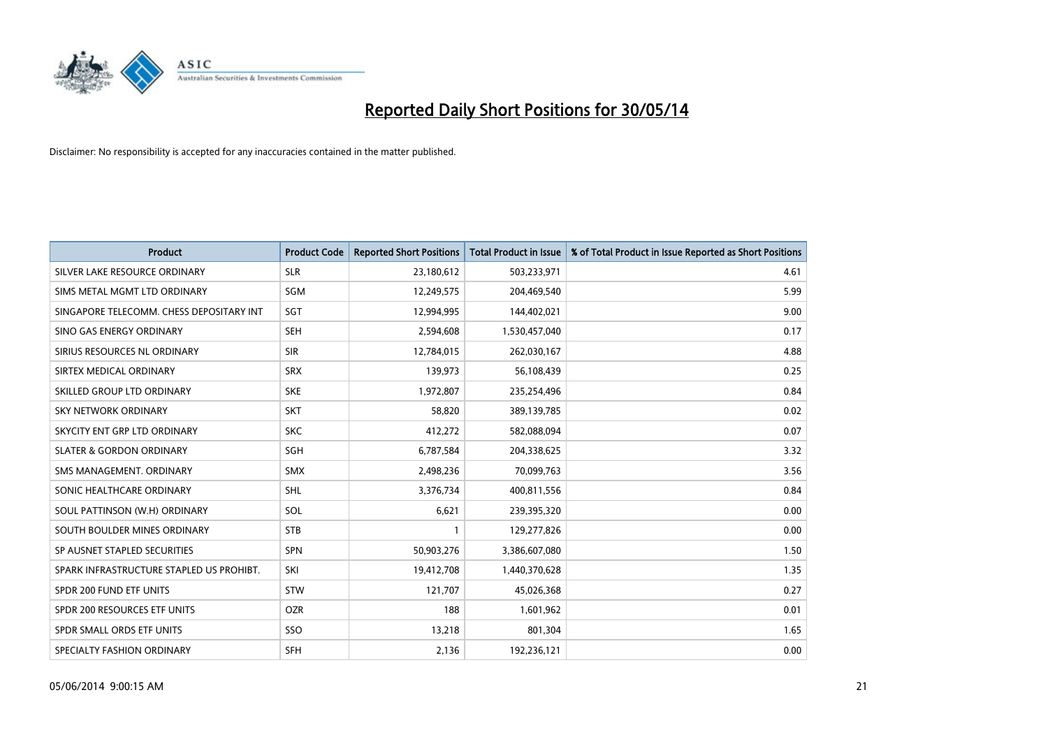

| <b>Product</b>                           | <b>Product Code</b> | <b>Reported Short Positions</b> | <b>Total Product in Issue</b> | % of Total Product in Issue Reported as Short Positions |
|------------------------------------------|---------------------|---------------------------------|-------------------------------|---------------------------------------------------------|
| SILVER LAKE RESOURCE ORDINARY            | <b>SLR</b>          | 23,180,612                      | 503,233,971                   | 4.61                                                    |
| SIMS METAL MGMT LTD ORDINARY             | <b>SGM</b>          | 12,249,575                      | 204,469,540                   | 5.99                                                    |
| SINGAPORE TELECOMM. CHESS DEPOSITARY INT | SGT                 | 12,994,995                      | 144,402,021                   | 9.00                                                    |
| SINO GAS ENERGY ORDINARY                 | <b>SEH</b>          | 2,594,608                       | 1,530,457,040                 | 0.17                                                    |
| SIRIUS RESOURCES NL ORDINARY             | <b>SIR</b>          | 12,784,015                      | 262,030,167                   | 4.88                                                    |
| SIRTEX MEDICAL ORDINARY                  | <b>SRX</b>          | 139,973                         | 56,108,439                    | 0.25                                                    |
| SKILLED GROUP LTD ORDINARY               | <b>SKE</b>          | 1,972,807                       | 235,254,496                   | 0.84                                                    |
| SKY NETWORK ORDINARY                     | <b>SKT</b>          | 58,820                          | 389,139,785                   | 0.02                                                    |
| SKYCITY ENT GRP LTD ORDINARY             | <b>SKC</b>          | 412,272                         | 582,088,094                   | 0.07                                                    |
| <b>SLATER &amp; GORDON ORDINARY</b>      | SGH                 | 6,787,584                       | 204,338,625                   | 3.32                                                    |
| SMS MANAGEMENT. ORDINARY                 | <b>SMX</b>          | 2,498,236                       | 70,099,763                    | 3.56                                                    |
| SONIC HEALTHCARE ORDINARY                | <b>SHL</b>          | 3,376,734                       | 400,811,556                   | 0.84                                                    |
| SOUL PATTINSON (W.H) ORDINARY            | <b>SOL</b>          | 6,621                           | 239,395,320                   | 0.00                                                    |
| SOUTH BOULDER MINES ORDINARY             | <b>STB</b>          | 1                               | 129,277,826                   | 0.00                                                    |
| SP AUSNET STAPLED SECURITIES             | SPN                 | 50,903,276                      | 3,386,607,080                 | 1.50                                                    |
| SPARK INFRASTRUCTURE STAPLED US PROHIBT. | SKI                 | 19,412,708                      | 1,440,370,628                 | 1.35                                                    |
| SPDR 200 FUND ETF UNITS                  | STW                 | 121,707                         | 45,026,368                    | 0.27                                                    |
| SPDR 200 RESOURCES ETF UNITS             | <b>OZR</b>          | 188                             | 1,601,962                     | 0.01                                                    |
| SPDR SMALL ORDS ETF UNITS                | SSO                 | 13,218                          | 801,304                       | 1.65                                                    |
| SPECIALTY FASHION ORDINARY               | SFH                 | 2,136                           | 192,236,121                   | 0.00                                                    |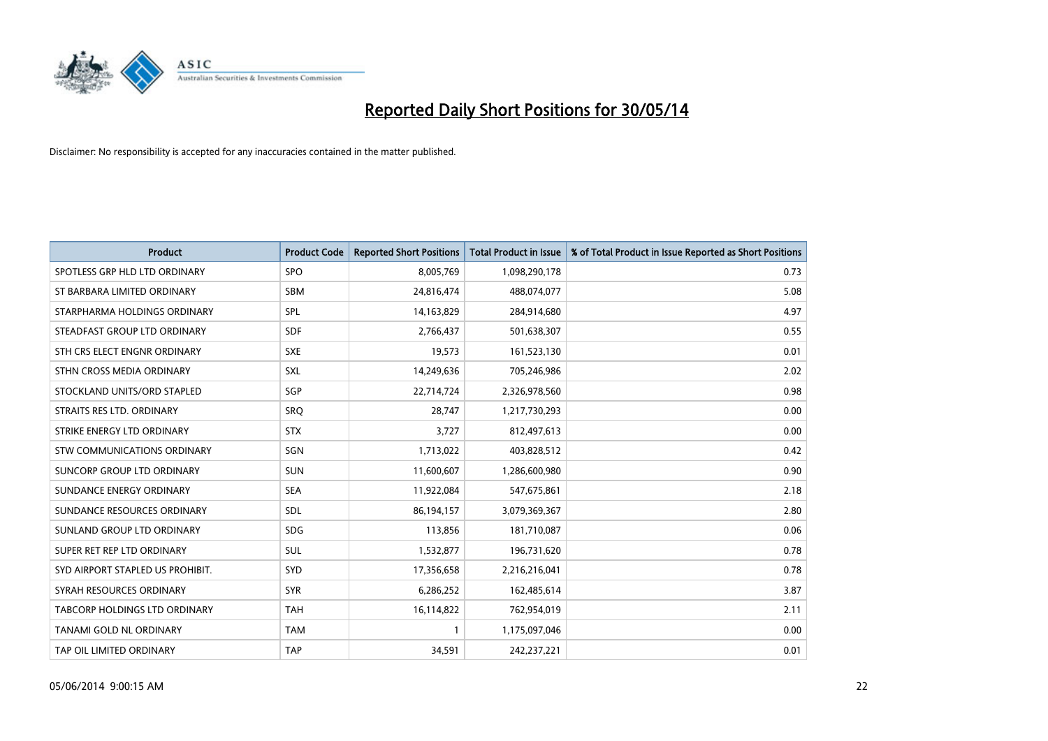

| <b>Product</b>                     | <b>Product Code</b> | <b>Reported Short Positions</b> | <b>Total Product in Issue</b> | % of Total Product in Issue Reported as Short Positions |
|------------------------------------|---------------------|---------------------------------|-------------------------------|---------------------------------------------------------|
| SPOTLESS GRP HLD LTD ORDINARY      | SPO                 | 8,005,769                       | 1,098,290,178                 | 0.73                                                    |
| ST BARBARA LIMITED ORDINARY        | <b>SBM</b>          | 24,816,474                      | 488,074,077                   | 5.08                                                    |
| STARPHARMA HOLDINGS ORDINARY       | SPL                 | 14,163,829                      | 284,914,680                   | 4.97                                                    |
| STEADFAST GROUP LTD ORDINARY       | <b>SDF</b>          | 2,766,437                       | 501,638,307                   | 0.55                                                    |
| STH CRS ELECT ENGNR ORDINARY       | <b>SXE</b>          | 19,573                          | 161,523,130                   | 0.01                                                    |
| STHN CROSS MEDIA ORDINARY          | <b>SXL</b>          | 14,249,636                      | 705,246,986                   | 2.02                                                    |
| STOCKLAND UNITS/ORD STAPLED        | SGP                 | 22,714,724                      | 2,326,978,560                 | 0.98                                                    |
| STRAITS RES LTD. ORDINARY          | SRO                 | 28,747                          | 1,217,730,293                 | 0.00                                                    |
| STRIKE ENERGY LTD ORDINARY         | <b>STX</b>          | 3,727                           | 812,497,613                   | 0.00                                                    |
| <b>STW COMMUNICATIONS ORDINARY</b> | SGN                 | 1,713,022                       | 403,828,512                   | 0.42                                                    |
| SUNCORP GROUP LTD ORDINARY         | <b>SUN</b>          | 11,600,607                      | 1,286,600,980                 | 0.90                                                    |
| SUNDANCE ENERGY ORDINARY           | <b>SEA</b>          | 11,922,084                      | 547,675,861                   | 2.18                                                    |
| SUNDANCE RESOURCES ORDINARY        | <b>SDL</b>          | 86,194,157                      | 3,079,369,367                 | 2.80                                                    |
| SUNLAND GROUP LTD ORDINARY         | <b>SDG</b>          | 113,856                         | 181,710,087                   | 0.06                                                    |
| SUPER RET REP LTD ORDINARY         | <b>SUL</b>          | 1,532,877                       | 196,731,620                   | 0.78                                                    |
| SYD AIRPORT STAPLED US PROHIBIT.   | <b>SYD</b>          | 17,356,658                      | 2,216,216,041                 | 0.78                                                    |
| SYRAH RESOURCES ORDINARY           | <b>SYR</b>          | 6,286,252                       | 162,485,614                   | 3.87                                                    |
| TABCORP HOLDINGS LTD ORDINARY      | <b>TAH</b>          | 16,114,822                      | 762,954,019                   | 2.11                                                    |
| <b>TANAMI GOLD NL ORDINARY</b>     | <b>TAM</b>          | $\mathbf{1}$                    | 1,175,097,046                 | 0.00                                                    |
| TAP OIL LIMITED ORDINARY           | <b>TAP</b>          | 34,591                          | 242,237,221                   | 0.01                                                    |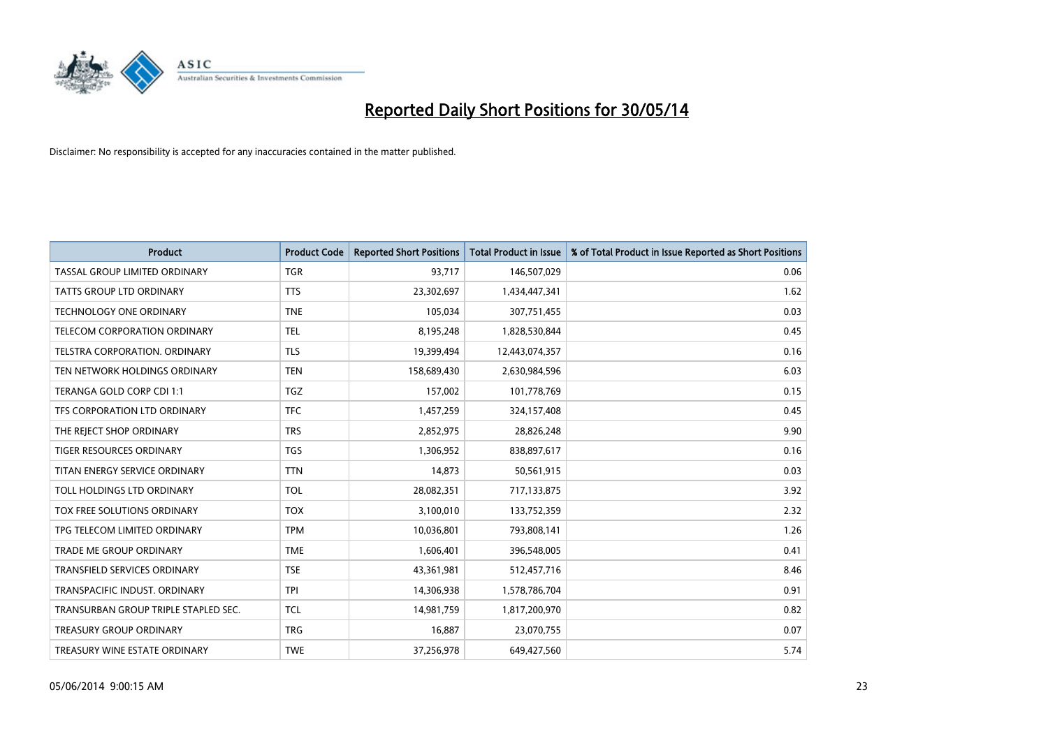

| <b>Product</b>                       | <b>Product Code</b> | <b>Reported Short Positions</b> | <b>Total Product in Issue</b> | % of Total Product in Issue Reported as Short Positions |
|--------------------------------------|---------------------|---------------------------------|-------------------------------|---------------------------------------------------------|
| TASSAL GROUP LIMITED ORDINARY        | <b>TGR</b>          | 93,717                          | 146,507,029                   | 0.06                                                    |
| TATTS GROUP LTD ORDINARY             | <b>TTS</b>          | 23,302,697                      | 1,434,447,341                 | 1.62                                                    |
| TECHNOLOGY ONE ORDINARY              | <b>TNE</b>          | 105,034                         | 307,751,455                   | 0.03                                                    |
| TELECOM CORPORATION ORDINARY         | <b>TEL</b>          | 8,195,248                       | 1,828,530,844                 | 0.45                                                    |
| TELSTRA CORPORATION, ORDINARY        | <b>TLS</b>          | 19,399,494                      | 12,443,074,357                | 0.16                                                    |
| TEN NETWORK HOLDINGS ORDINARY        | <b>TEN</b>          | 158,689,430                     | 2,630,984,596                 | 6.03                                                    |
| TERANGA GOLD CORP CDI 1:1            | <b>TGZ</b>          | 157,002                         | 101,778,769                   | 0.15                                                    |
| TFS CORPORATION LTD ORDINARY         | <b>TFC</b>          | 1,457,259                       | 324,157,408                   | 0.45                                                    |
| THE REJECT SHOP ORDINARY             | <b>TRS</b>          | 2,852,975                       | 28,826,248                    | 9.90                                                    |
| <b>TIGER RESOURCES ORDINARY</b>      | <b>TGS</b>          | 1,306,952                       | 838,897,617                   | 0.16                                                    |
| TITAN ENERGY SERVICE ORDINARY        | <b>TTN</b>          | 14,873                          | 50,561,915                    | 0.03                                                    |
| TOLL HOLDINGS LTD ORDINARY           | <b>TOL</b>          | 28,082,351                      | 717,133,875                   | 3.92                                                    |
| TOX FREE SOLUTIONS ORDINARY          | <b>TOX</b>          | 3,100,010                       | 133,752,359                   | 2.32                                                    |
| TPG TELECOM LIMITED ORDINARY         | <b>TPM</b>          | 10,036,801                      | 793,808,141                   | 1.26                                                    |
| <b>TRADE ME GROUP ORDINARY</b>       | <b>TME</b>          | 1,606,401                       | 396,548,005                   | 0.41                                                    |
| TRANSFIELD SERVICES ORDINARY         | <b>TSE</b>          | 43,361,981                      | 512,457,716                   | 8.46                                                    |
| TRANSPACIFIC INDUST. ORDINARY        | <b>TPI</b>          | 14,306,938                      | 1,578,786,704                 | 0.91                                                    |
| TRANSURBAN GROUP TRIPLE STAPLED SEC. | <b>TCL</b>          | 14,981,759                      | 1,817,200,970                 | 0.82                                                    |
| <b>TREASURY GROUP ORDINARY</b>       | <b>TRG</b>          | 16,887                          | 23,070,755                    | 0.07                                                    |
| TREASURY WINE ESTATE ORDINARY        | <b>TWE</b>          | 37,256,978                      | 649,427,560                   | 5.74                                                    |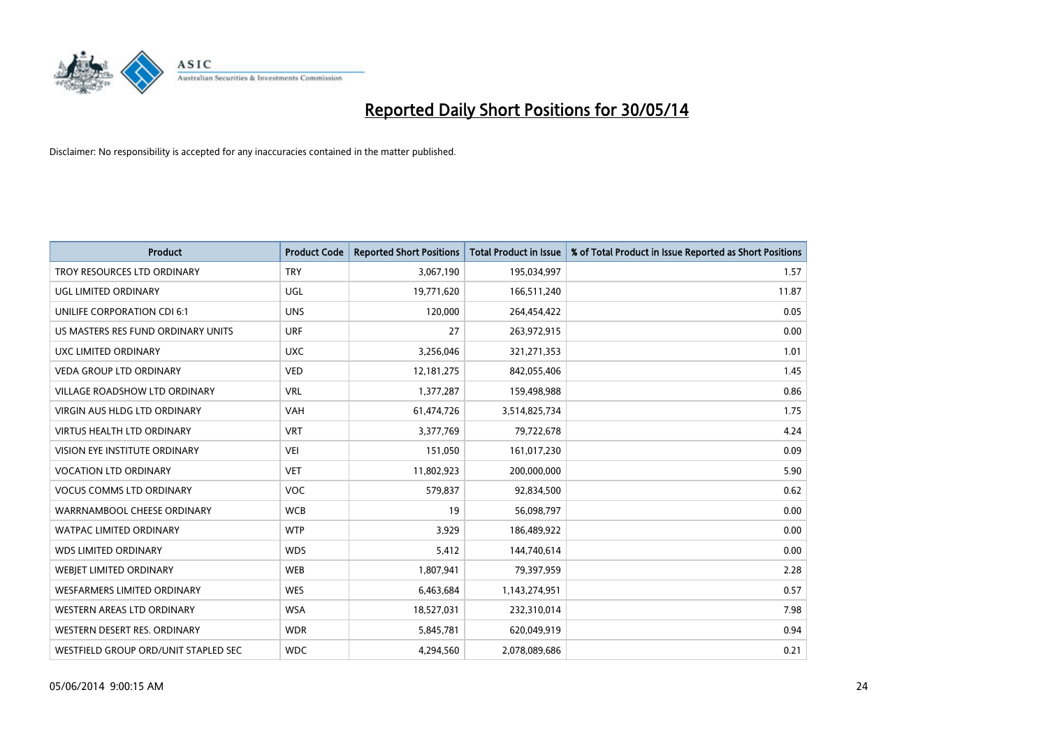

| <b>Product</b>                       | <b>Product Code</b> | <b>Reported Short Positions</b> | <b>Total Product in Issue</b> | % of Total Product in Issue Reported as Short Positions |
|--------------------------------------|---------------------|---------------------------------|-------------------------------|---------------------------------------------------------|
| TROY RESOURCES LTD ORDINARY          | <b>TRY</b>          | 3,067,190                       | 195,034,997                   | 1.57                                                    |
| UGL LIMITED ORDINARY                 | UGL                 | 19,771,620                      | 166,511,240                   | 11.87                                                   |
| UNILIFE CORPORATION CDI 6:1          | <b>UNS</b>          | 120,000                         | 264,454,422                   | 0.05                                                    |
| US MASTERS RES FUND ORDINARY UNITS   | <b>URF</b>          | 27                              | 263,972,915                   | 0.00                                                    |
| UXC LIMITED ORDINARY                 | <b>UXC</b>          | 3,256,046                       | 321,271,353                   | 1.01                                                    |
| <b>VEDA GROUP LTD ORDINARY</b>       | <b>VED</b>          | 12, 181, 275                    | 842,055,406                   | 1.45                                                    |
| <b>VILLAGE ROADSHOW LTD ORDINARY</b> | <b>VRL</b>          | 1,377,287                       | 159,498,988                   | 0.86                                                    |
| VIRGIN AUS HLDG LTD ORDINARY         | <b>VAH</b>          | 61,474,726                      | 3,514,825,734                 | 1.75                                                    |
| <b>VIRTUS HEALTH LTD ORDINARY</b>    | <b>VRT</b>          | 3,377,769                       | 79,722,678                    | 4.24                                                    |
| VISION EYE INSTITUTE ORDINARY        | <b>VEI</b>          | 151,050                         | 161,017,230                   | 0.09                                                    |
| <b>VOCATION LTD ORDINARY</b>         | <b>VET</b>          | 11,802,923                      | 200,000,000                   | 5.90                                                    |
| <b>VOCUS COMMS LTD ORDINARY</b>      | <b>VOC</b>          | 579,837                         | 92,834,500                    | 0.62                                                    |
| WARRNAMBOOL CHEESE ORDINARY          | <b>WCB</b>          | 19                              | 56,098,797                    | 0.00                                                    |
| <b>WATPAC LIMITED ORDINARY</b>       | <b>WTP</b>          | 3,929                           | 186,489,922                   | 0.00                                                    |
| <b>WDS LIMITED ORDINARY</b>          | <b>WDS</b>          | 5,412                           | 144,740,614                   | 0.00                                                    |
| WEBJET LIMITED ORDINARY              | <b>WEB</b>          | 1,807,941                       | 79,397,959                    | 2.28                                                    |
| WESFARMERS LIMITED ORDINARY          | <b>WES</b>          | 6,463,684                       | 1,143,274,951                 | 0.57                                                    |
| WESTERN AREAS LTD ORDINARY           | <b>WSA</b>          | 18,527,031                      | 232,310,014                   | 7.98                                                    |
| WESTERN DESERT RES. ORDINARY         | <b>WDR</b>          | 5,845,781                       | 620,049,919                   | 0.94                                                    |
| WESTFIELD GROUP ORD/UNIT STAPLED SEC | <b>WDC</b>          | 4,294,560                       | 2,078,089,686                 | 0.21                                                    |